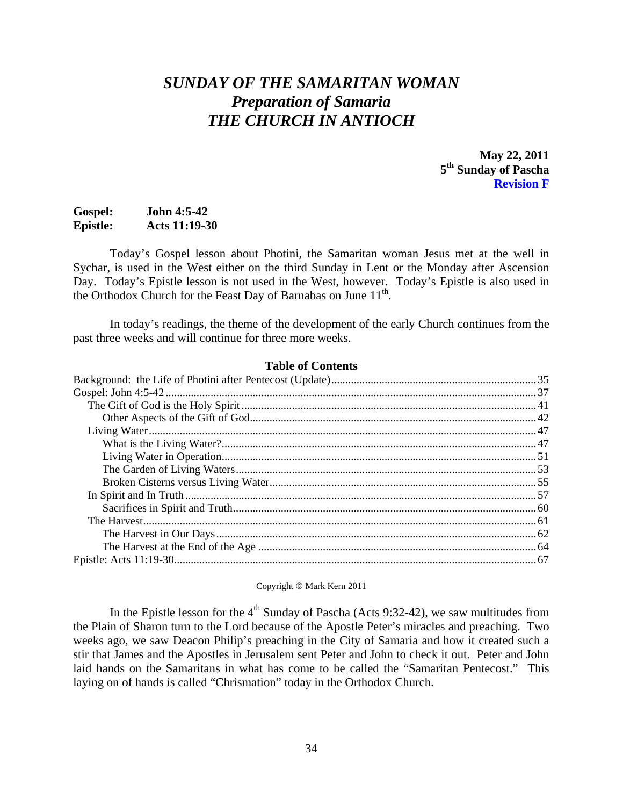# *SUNDAY OF THE SAMARITAN WOMAN Preparation of Samaria THE CHURCH IN ANTIOCH*

**May 22, 2011 5th Sunday of Pascha Revision F** 

# **Gospel: John 4:5-42 Epistle: Acts 11:19-30**

Today's Gospel lesson about Photini, the Samaritan woman Jesus met at the well in Sychar, is used in the West either on the third Sunday in Lent or the Monday after Ascension Day. Today's Epistle lesson is not used in the West, however. Today's Epistle is also used in the Orthodox Church for the Feast Day of Barnabas on June  $11<sup>th</sup>$ .

 In today's readings, the theme of the development of the early Church continues from the past three weeks and will continue for three more weeks.

#### **Table of Contents**

Copyright © Mark Kern 2011

In the Epistle lesson for the  $4<sup>th</sup>$  Sunday of Pascha (Acts 9:32-42), we saw multitudes from the Plain of Sharon turn to the Lord because of the Apostle Peter's miracles and preaching. Two weeks ago, we saw Deacon Philip's preaching in the City of Samaria and how it created such a stir that James and the Apostles in Jerusalem sent Peter and John to check it out. Peter and John laid hands on the Samaritans in what has come to be called the "Samaritan Pentecost." This laying on of hands is called "Chrismation" today in the Orthodox Church.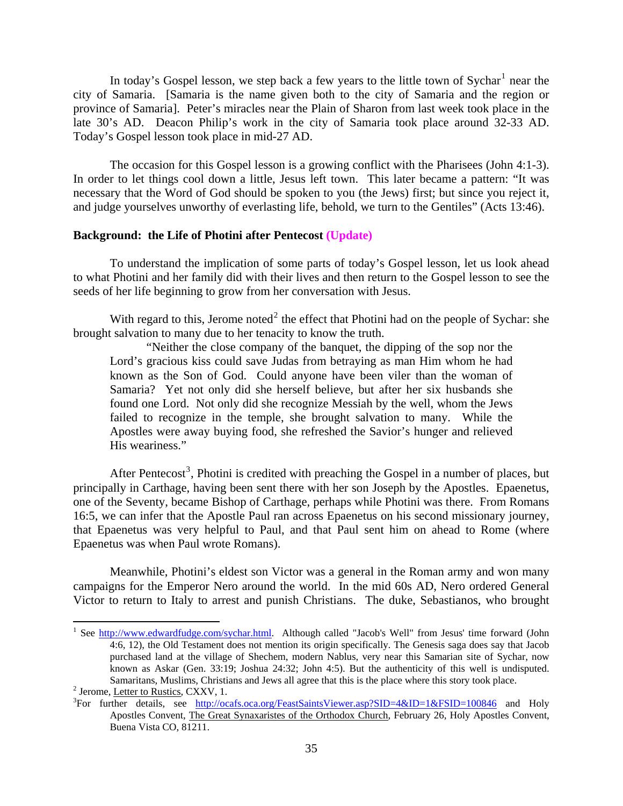<span id="page-1-0"></span>In today's Gospel lesson, we step back a few years to the little town of Sychar<sup>[1](#page-1-1)</sup> near the city of Samaria. [Samaria is the name given both to the city of Samaria and the region or province of Samaria]. Peter's miracles near the Plain of Sharon from last week took place in the late 30's AD. Deacon Philip's work in the city of Samaria took place around 32-33 AD. Today's Gospel lesson took place in mid-27 AD.

The occasion for this Gospel lesson is a growing conflict with the Pharisees (John 4:1-3). In order to let things cool down a little, Jesus left town. This later became a pattern: "It was necessary that the Word of God should be spoken to you (the Jews) first; but since you reject it, and judge yourselves unworthy of everlasting life, behold, we turn to the Gentiles" (Acts 13:46).

# **Background: the Life of Photini after Pentecost (Update)**

To understand the implication of some parts of today's Gospel lesson, let us look ahead to what Photini and her family did with their lives and then return to the Gospel lesson to see the seeds of her life beginning to grow from her conversation with Jesus.

With regard to this, Jerome noted<sup>[2](#page-1-2)</sup> the effect that Photini had on the people of Sychar: she brought salvation to many due to her tenacity to know the truth.

"Neither the close company of the banquet, the dipping of the sop nor the Lord's gracious kiss could save Judas from betraying as man Him whom he had known as the Son of God. Could anyone have been viler than the woman of Samaria? Yet not only did she herself believe, but after her six husbands she found one Lord. Not only did she recognize Messiah by the well, whom the Jews failed to recognize in the temple, she brought salvation to many. While the Apostles were away buying food, she refreshed the Savior's hunger and relieved His weariness."

After Pentecost<sup>[3](#page-1-3)</sup>, Photini is credited with preaching the Gospel in a number of places, but principally in Carthage, having been sent there with her son Joseph by the Apostles. Epaenetus, one of the Seventy, became Bishop of Carthage, perhaps while Photini was there. From Romans 16:5, we can infer that the Apostle Paul ran across Epaenetus on his second missionary journey, that Epaenetus was very helpful to Paul, and that Paul sent him on ahead to Rome (where Epaenetus was when Paul wrote Romans).

Meanwhile, Photini's eldest son Victor was a general in the Roman army and won many campaigns for the Emperor Nero around the world. In the mid 60s AD, Nero ordered General Victor to return to Italy to arrest and punish Christians. The duke, Sebastianos, who brought

<span id="page-1-1"></span><sup>&</sup>lt;sup>1</sup> See <http://www.edwardfudge.com/sychar.html>. Although called "Jacob's Well" from Jesus' time forward (John 4:6, 12), the Old Testament does not mention its origin specifically. The Genesis saga does say that Jacob purchased land at the village of Shechem, modern Nablus, very near this Samarian site of Sychar, now known as Askar (Gen. 33:19; Joshua 24:32; John 4:5). But the authenticity of this well is undisputed. Samaritans, Muslims, Christians and Jews all agree that this is the place where this story took place. 2

<span id="page-1-2"></span> $<sup>2</sup>$  Jerome, Letter to Rustics, CXXV, 1.</sup>

<span id="page-1-3"></span><sup>&</sup>lt;sup>3</sup>For further details, see <http://ocafs.oca.org/FeastSaintsViewer.asp?SID=4&ID=1&FSID=100846> and Holy Apostles Convent, The Great Synaxaristes of the Orthodox Church, February 26, Holy Apostles Convent, Buena Vista CO, 81211.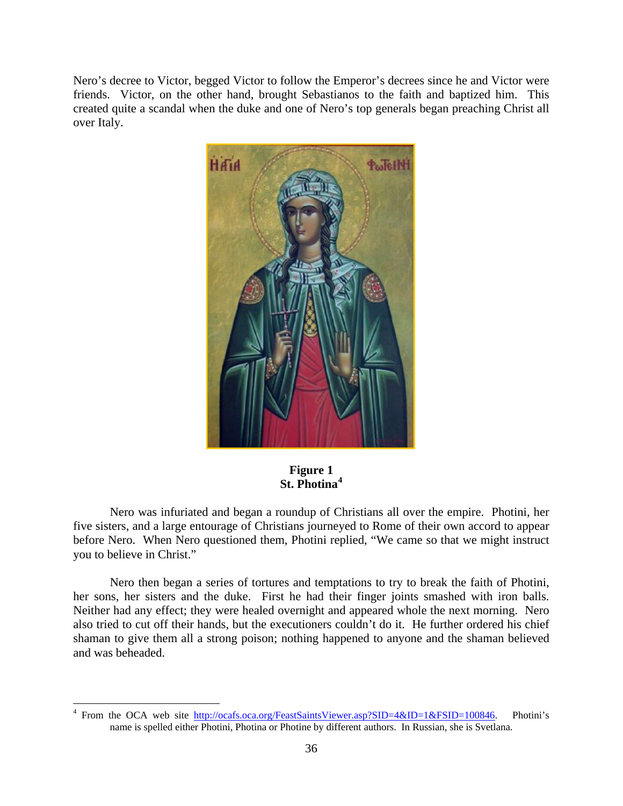Nero's decree to Victor, begged Victor to follow the Emperor's decrees since he and Victor were friends. Victor, on the other hand, brought Sebastianos to the faith and baptized him. This created quite a scandal when the duke and one of Nero's top generals began preaching Christ all over Italy.



# **Figure 1 St. Photina[4](#page-2-0)**

Nero was infuriated and began a roundup of Christians all over the empire. Photini, her five sisters, and a large entourage of Christians journeyed to Rome of their own accord to appear before Nero. When Nero questioned them, Photini replied, "We came so that we might instruct you to believe in Christ."

Nero then began a series of tortures and temptations to try to break the faith of Photini, her sons, her sisters and the duke. First he had their finger joints smashed with iron balls. Neither had any effect; they were healed overnight and appeared whole the next morning. Nero also tried to cut off their hands, but the executioners couldn't do it. He further ordered his chief shaman to give them all a strong poison; nothing happened to anyone and the shaman believed and was beheaded.

<span id="page-2-0"></span><sup>&</sup>lt;sup>4</sup> From the OCA web site <u>http://ocafs.oca.org/FeastSaintsViewer.asp?SID=4&ID=1&FSID=100846</u>. Photini's name is spelled either Photini, Photina or Photine by different authors. In Russian, she is Svetlana.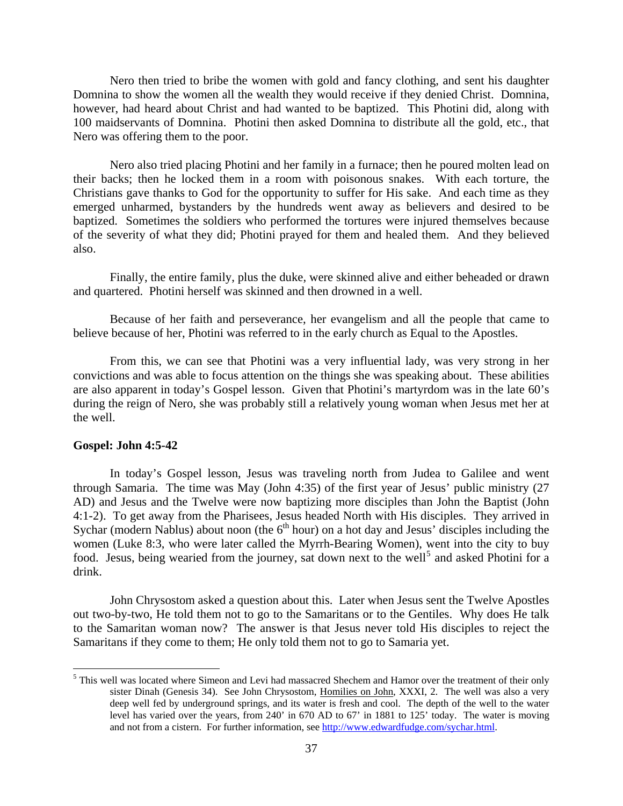<span id="page-3-0"></span>Nero then tried to bribe the women with gold and fancy clothing, and sent his daughter Domnina to show the women all the wealth they would receive if they denied Christ. Domnina, however, had heard about Christ and had wanted to be baptized. This Photini did, along with 100 maidservants of Domnina. Photini then asked Domnina to distribute all the gold, etc., that Nero was offering them to the poor.

Nero also tried placing Photini and her family in a furnace; then he poured molten lead on their backs; then he locked them in a room with poisonous snakes. With each torture, the Christians gave thanks to God for the opportunity to suffer for His sake. And each time as they emerged unharmed, bystanders by the hundreds went away as believers and desired to be baptized. Sometimes the soldiers who performed the tortures were injured themselves because of the severity of what they did; Photini prayed for them and healed them. And they believed also.

Finally, the entire family, plus the duke, were skinned alive and either beheaded or drawn and quartered. Photini herself was skinned and then drowned in a well.

Because of her faith and perseverance, her evangelism and all the people that came to believe because of her, Photini was referred to in the early church as Equal to the Apostles.

From this, we can see that Photini was a very influential lady, was very strong in her convictions and was able to focus attention on the things she was speaking about. These abilities are also apparent in today's Gospel lesson. Given that Photini's martyrdom was in the late 60's during the reign of Nero, she was probably still a relatively young woman when Jesus met her at the well.

#### **Gospel: John 4:5-42**

 $\overline{a}$ 

In today's Gospel lesson, Jesus was traveling north from Judea to Galilee and went through Samaria. The time was May (John 4:35) of the first year of Jesus' public ministry (27 AD) and Jesus and the Twelve were now baptizing more disciples than John the Baptist (John 4:1-2). To get away from the Pharisees, Jesus headed North with His disciples. They arrived in Sychar (modern Nablus) about noon (the  $6<sup>th</sup>$  hour) on a hot day and Jesus' disciples including the women (Luke 8:3, who were later called the Myrrh-Bearing Women), went into the city to buy food. Jesus, being wearied from the journey, sat down next to the well<sup>[5](#page-3-1)</sup> and asked Photini for a drink.

John Chrysostom asked a question about this. Later when Jesus sent the Twelve Apostles out two-by-two, He told them not to go to the Samaritans or to the Gentiles. Why does He talk to the Samaritan woman now? The answer is that Jesus never told His disciples to reject the Samaritans if they come to them; He only told them not to go to Samaria yet.

<span id="page-3-1"></span><sup>&</sup>lt;sup>5</sup> This well was located where Simeon and Levi had massacred Shechem and Hamor over the treatment of their only sister Dinah (Genesis 34). See John Chrysostom, Homilies on John, XXXI, 2. The well was also a very deep well fed by underground springs, and its water is fresh and cool. The depth of the well to the water level has varied over the years, from 240' in 670 AD to 67' in 1881 to 125' today. The water is moving and not from a cistern. For further information, see <http://www.edwardfudge.com/sychar.html>.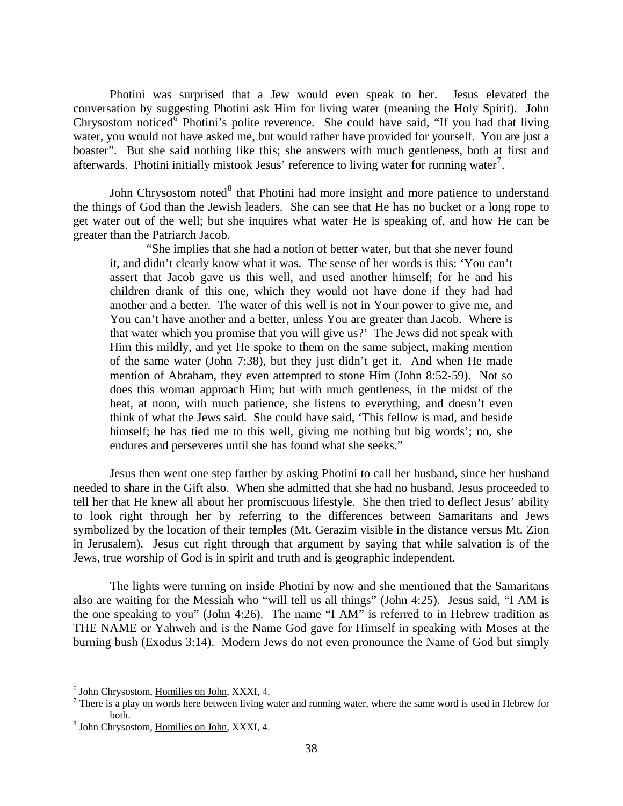Photini was surprised that a Jew would even speak to her. Jesus elevated the conversation by suggesting Photini ask Him for living water (meaning the Holy Spirit). John Chrysostom noticed  $\delta$  Photini's polite reverence. She could have said, "If you had that living water, you would not have asked me, but would rather have provided for yourself. You are just a boaster". But she said nothing like this; she answers with much gentleness, both at first and afterwards. Photini initially mistook Jesus' reference to living water for running water<sup>[7](#page-4-1)</sup>.

John Chrysostom noted<sup>[8](#page-4-2)</sup> that Photini had more insight and more patience to understand the things of God than the Jewish leaders. She can see that He has no bucket or a long rope to get water out of the well; but she inquires what water He is speaking of, and how He can be greater than the Patriarch Jacob.

"She implies that she had a notion of better water, but that she never found it, and didn't clearly know what it was. The sense of her words is this: 'You can't assert that Jacob gave us this well, and used another himself; for he and his children drank of this one, which they would not have done if they had had another and a better. The water of this well is not in Your power to give me, and You can't have another and a better, unless You are greater than Jacob. Where is that water which you promise that you will give us?' The Jews did not speak with Him this mildly, and yet He spoke to them on the same subject, making mention of the same water (John 7:38), but they just didn't get it. And when He made mention of Abraham, they even attempted to stone Him (John 8:52-59). Not so does this woman approach Him; but with much gentleness, in the midst of the heat, at noon, with much patience, she listens to everything, and doesn't even think of what the Jews said. She could have said, 'This fellow is mad, and beside himself; he has tied me to this well, giving me nothing but big words'; no, she endures and perseveres until she has found what she seeks."

Jesus then went one step farther by asking Photini to call her husband, since her husband needed to share in the Gift also. When she admitted that she had no husband, Jesus proceeded to tell her that He knew all about her promiscuous lifestyle. She then tried to deflect Jesus' ability to look right through her by referring to the differences between Samaritans and Jews symbolized by the location of their temples (Mt. Gerazim visible in the distance versus Mt. Zion in Jerusalem). Jesus cut right through that argument by saying that while salvation is of the Jews, true worship of God is in spirit and truth and is geographic independent.

The lights were turning on inside Photini by now and she mentioned that the Samaritans also are waiting for the Messiah who "will tell us all things" (John 4:25). Jesus said, "I AM is the one speaking to you" (John 4:26). The name "I AM" is referred to in Hebrew tradition as THE NAME or Yahweh and is the Name God gave for Himself in speaking with Moses at the burning bush (Exodus 3:14). Modern Jews do not even pronounce the Name of God but simply

<u>.</u>

<span id="page-4-0"></span> $^6$  John Chrysostom, <u>Homilies on John</u>, XXXI, 4.

<span id="page-4-1"></span><sup>&</sup>lt;sup>7</sup> There is a play on words here between living water and running water, where the same word is used in Hebrew for both.<br><sup>8</sup> John Chrysostom, <u>Homilies on John</u>, XXXI, 4.

<span id="page-4-2"></span>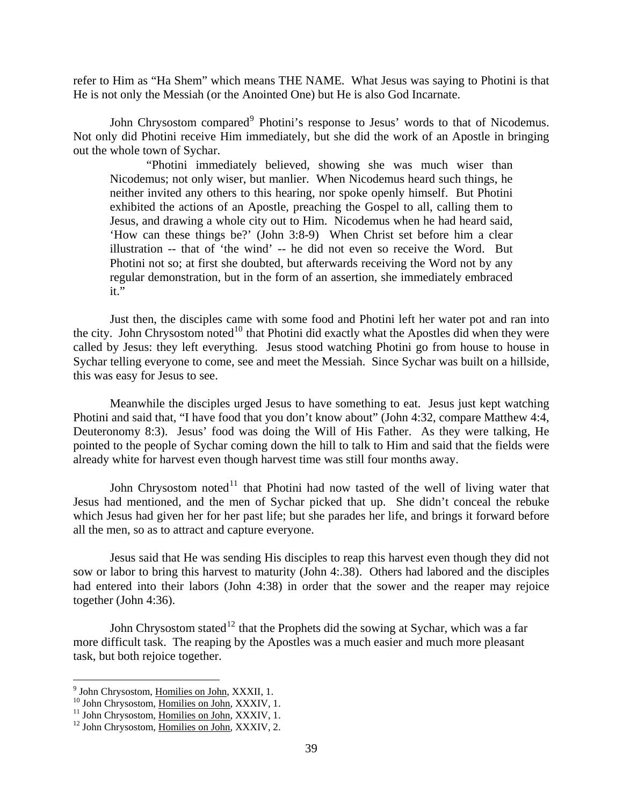refer to Him as "Ha Shem" which means THE NAME. What Jesus was saying to Photini is that He is not only the Messiah (or the Anointed One) but He is also God Incarnate.

John Chrysostom compared<sup>[9](#page-5-0)</sup> Photini's response to Jesus' words to that of Nicodemus. Not only did Photini receive Him immediately, but she did the work of an Apostle in bringing out the whole town of Sychar.

"Photini immediately believed, showing she was much wiser than Nicodemus; not only wiser, but manlier. When Nicodemus heard such things, he neither invited any others to this hearing, nor spoke openly himself. But Photini exhibited the actions of an Apostle, preaching the Gospel to all, calling them to Jesus, and drawing a whole city out to Him. Nicodemus when he had heard said, 'How can these things be?' (John 3:8-9) When Christ set before him a clear illustration -- that of 'the wind' -- he did not even so receive the Word. But Photini not so; at first she doubted, but afterwards receiving the Word not by any regular demonstration, but in the form of an assertion, she immediately embraced it."

Just then, the disciples came with some food and Photini left her water pot and ran into the city. John Chrysostom noted<sup>[10](#page-5-1)</sup> that Photini did exactly what the Apostles did when they were called by Jesus: they left everything. Jesus stood watching Photini go from house to house in Sychar telling everyone to come, see and meet the Messiah. Since Sychar was built on a hillside, this was easy for Jesus to see.

Meanwhile the disciples urged Jesus to have something to eat. Jesus just kept watching Photini and said that, "I have food that you don't know about" (John 4:32, compare Matthew 4:4, Deuteronomy 8:3). Jesus' food was doing the Will of His Father. As they were talking, He pointed to the people of Sychar coming down the hill to talk to Him and said that the fields were already white for harvest even though harvest time was still four months away.

John Chrysostom noted<sup>[11](#page-5-2)</sup> that Photini had now tasted of the well of living water that Jesus had mentioned, and the men of Sychar picked that up. She didn't conceal the rebuke which Jesus had given her for her past life; but she parades her life, and brings it forward before all the men, so as to attract and capture everyone.

Jesus said that He was sending His disciples to reap this harvest even though they did not sow or labor to bring this harvest to maturity (John 4:.38). Others had labored and the disciples had entered into their labors (John 4:38) in order that the sower and the reaper may rejoice together (John 4:36).

John Chrysostom stated<sup>[12](#page-5-3)</sup> that the Prophets did the sowing at Sychar, which was a far more difficult task. The reaping by the Apostles was a much easier and much more pleasant task, but both rejoice together.

<span id="page-5-1"></span><span id="page-5-0"></span>

<sup>&</sup>lt;sup>9</sup> John Chrysostom, <u>Homilies on John,</u> XXXII, 1.<br><sup>10</sup> John Chrysostom, <u>Homilies on John</u>, XXXIV, 1.<br><sup>11</sup> John Chrysostom, <u>Homilies on John,</u> XXXIV, 2.<br><sup>12</sup> John Chrysostom, <u>Homilies on John,</u> XXXIV, 2.

<span id="page-5-2"></span>

<span id="page-5-3"></span>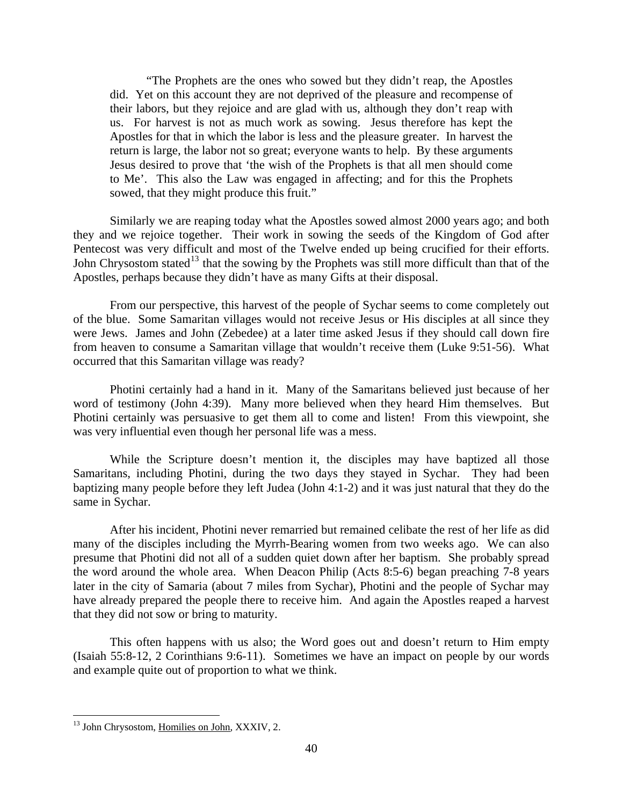"The Prophets are the ones who sowed but they didn't reap, the Apostles did. Yet on this account they are not deprived of the pleasure and recompense of their labors, but they rejoice and are glad with us, although they don't reap with us. For harvest is not as much work as sowing. Jesus therefore has kept the Apostles for that in which the labor is less and the pleasure greater. In harvest the return is large, the labor not so great; everyone wants to help. By these arguments Jesus desired to prove that 'the wish of the Prophets is that all men should come to Me'. This also the Law was engaged in affecting; and for this the Prophets sowed, that they might produce this fruit."

Similarly we are reaping today what the Apostles sowed almost 2000 years ago; and both they and we rejoice together. Their work in sowing the seeds of the Kingdom of God after Pentecost was very difficult and most of the Twelve ended up being crucified for their efforts. John Chrysostom stated<sup>[13](#page-6-0)</sup> that the sowing by the Prophets was still more difficult than that of the Apostles, perhaps because they didn't have as many Gifts at their disposal.

From our perspective, this harvest of the people of Sychar seems to come completely out of the blue. Some Samaritan villages would not receive Jesus or His disciples at all since they were Jews. James and John (Zebedee) at a later time asked Jesus if they should call down fire from heaven to consume a Samaritan village that wouldn't receive them (Luke 9:51-56). What occurred that this Samaritan village was ready?

Photini certainly had a hand in it. Many of the Samaritans believed just because of her word of testimony (John 4:39). Many more believed when they heard Him themselves. But Photini certainly was persuasive to get them all to come and listen! From this viewpoint, she was very influential even though her personal life was a mess.

While the Scripture doesn't mention it, the disciples may have baptized all those Samaritans, including Photini, during the two days they stayed in Sychar. They had been baptizing many people before they left Judea (John 4:1-2) and it was just natural that they do the same in Sychar.

After his incident, Photini never remarried but remained celibate the rest of her life as did many of the disciples including the Myrrh-Bearing women from two weeks ago. We can also presume that Photini did not all of a sudden quiet down after her baptism. She probably spread the word around the whole area. When Deacon Philip (Acts 8:5-6) began preaching 7-8 years later in the city of Samaria (about 7 miles from Sychar), Photini and the people of Sychar may have already prepared the people there to receive him. And again the Apostles reaped a harvest that they did not sow or bring to maturity.

This often happens with us also; the Word goes out and doesn't return to Him empty (Isaiah 55:8-12, 2 Corinthians 9:6-11). Sometimes we have an impact on people by our words and example quite out of proportion to what we think.

<span id="page-6-0"></span><sup>&</sup>lt;sup>13</sup> John Chrysostom, Homilies on John, XXXIV, 2.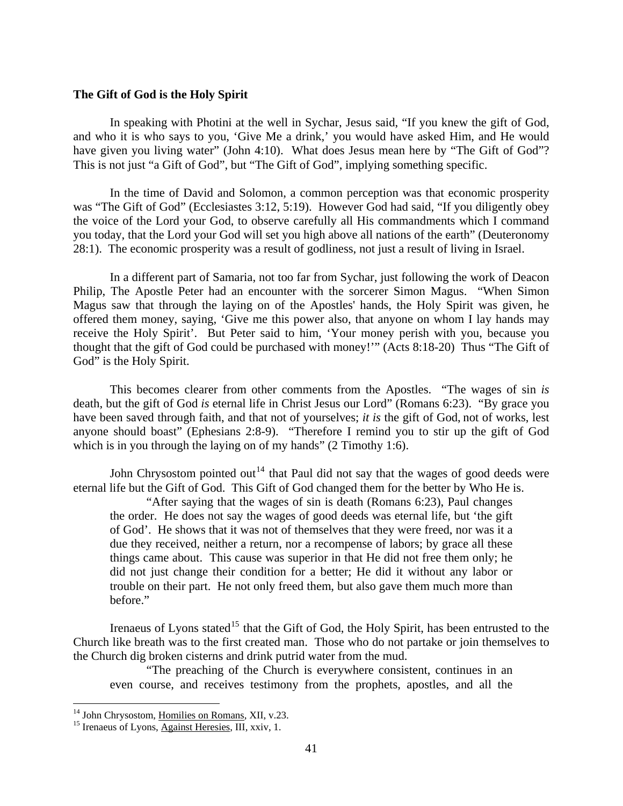#### <span id="page-7-0"></span>**The Gift of God is the Holy Spirit**

In speaking with Photini at the well in Sychar, Jesus said, "If you knew the gift of God, and who it is who says to you, 'Give Me a drink,' you would have asked Him, and He would have given you living water" (John 4:10). What does Jesus mean here by "The Gift of God"? This is not just "a Gift of God", but "The Gift of God", implying something specific.

In the time of David and Solomon, a common perception was that economic prosperity was "The Gift of God" (Ecclesiastes 3:12, 5:19). However God had said, "If you diligently obey the voice of the Lord your God, to observe carefully all His commandments which I command you today, that the Lord your God will set you high above all nations of the earth" (Deuteronomy 28:1). The economic prosperity was a result of godliness, not just a result of living in Israel.

In a different part of Samaria, not too far from Sychar, just following the work of Deacon Philip, The Apostle Peter had an encounter with the sorcerer Simon Magus. "When Simon Magus saw that through the laying on of the Apostles' hands, the Holy Spirit was given, he offered them money, saying, 'Give me this power also, that anyone on whom I lay hands may receive the Holy Spirit'. But Peter said to him, 'Your money perish with you, because you thought that the gift of God could be purchased with money!'" (Acts 8:18-20) Thus "The Gift of God" is the Holy Spirit.

This becomes clearer from other comments from the Apostles. "The wages of sin *is*  death, but the gift of God *is* eternal life in Christ Jesus our Lord" (Romans 6:23). "By grace you have been saved through faith, and that not of yourselves; *it is* the gift of God, not of works, lest anyone should boast" (Ephesians 2:8-9). "Therefore I remind you to stir up the gift of God which is in you through the laying on of my hands" (2 Timothy 1:6).

John Chrysostom pointed out<sup>[14](#page-7-1)</sup> that Paul did not say that the wages of good deeds were eternal life but the Gift of God. This Gift of God changed them for the better by Who He is.

"After saying that the wages of sin is death (Romans 6:23), Paul changes the order. He does not say the wages of good deeds was eternal life, but 'the gift of God'. He shows that it was not of themselves that they were freed, nor was it a due they received, neither a return, nor a recompense of labors; by grace all these things came about. This cause was superior in that He did not free them only; he did not just change their condition for a better; He did it without any labor or trouble on their part. He not only freed them, but also gave them much more than before."

Irenaeus of Lyons stated<sup>[15](#page-7-2)</sup> that the Gift of God, the Holy Spirit, has been entrusted to the Church like breath was to the first created man. Those who do not partake or join themselves to the Church dig broken cisterns and drink putrid water from the mud.

"The preaching of the Church is everywhere consistent, continues in an even course, and receives testimony from the prophets, apostles, and all the

<span id="page-7-1"></span><sup>&</sup>lt;sup>14</sup> John Chrysostom, Homilies on Romans, XII, v.23.

<span id="page-7-2"></span> $15$  Irenaeus of Lyons,  $\overline{\text{Against Heresies}}$ , III, xxiv, 1.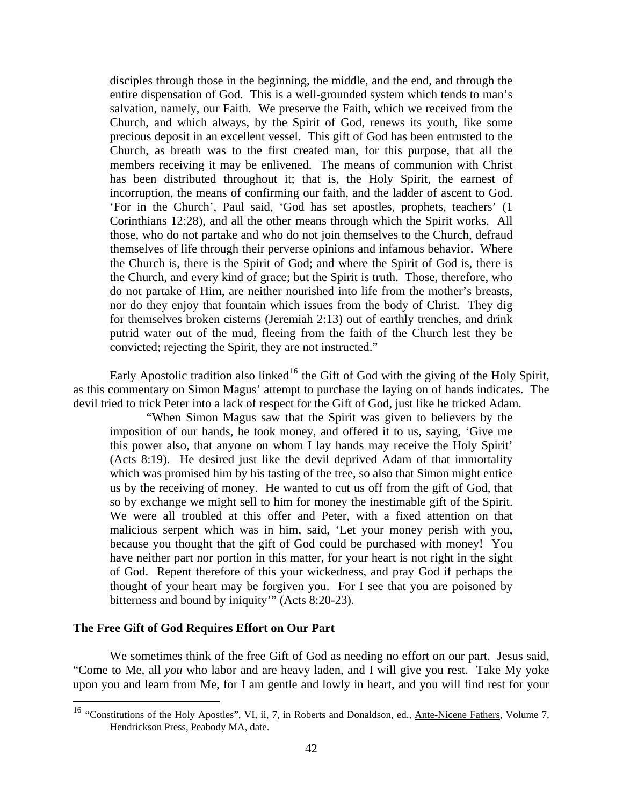<span id="page-8-0"></span>disciples through those in the beginning, the middle, and the end, and through the entire dispensation of God. This is a well-grounded system which tends to man's salvation, namely, our Faith. We preserve the Faith, which we received from the Church, and which always, by the Spirit of God, renews its youth, like some precious deposit in an excellent vessel. This gift of God has been entrusted to the Church, as breath was to the first created man, for this purpose, that all the members receiving it may be enlivened. The means of communion with Christ has been distributed throughout it; that is, the Holy Spirit, the earnest of incorruption, the means of confirming our faith, and the ladder of ascent to God. 'For in the Church', Paul said, 'God has set apostles, prophets, teachers' (1 Corinthians 12:28), and all the other means through which the Spirit works. All those, who do not partake and who do not join themselves to the Church, defraud themselves of life through their perverse opinions and infamous behavior. Where the Church is, there is the Spirit of God; and where the Spirit of God is, there is the Church, and every kind of grace; but the Spirit is truth. Those, therefore, who do not partake of Him, are neither nourished into life from the mother's breasts, nor do they enjoy that fountain which issues from the body of Christ. They dig for themselves broken cisterns (Jeremiah 2:13) out of earthly trenches, and drink putrid water out of the mud, fleeing from the faith of the Church lest they be convicted; rejecting the Spirit, they are not instructed."

Early Apostolic tradition also linked<sup>[16](#page-8-1)</sup> the Gift of God with the giving of the Holy Spirit, as this commentary on Simon Magus' attempt to purchase the laying on of hands indicates. The devil tried to trick Peter into a lack of respect for the Gift of God, just like he tricked Adam.

"When Simon Magus saw that the Spirit was given to believers by the imposition of our hands, he took money, and offered it to us, saying, 'Give me this power also, that anyone on whom I lay hands may receive the Holy Spirit' (Acts 8:19). He desired just like the devil deprived Adam of that immortality which was promised him by his tasting of the tree, so also that Simon might entice us by the receiving of money. He wanted to cut us off from the gift of God, that so by exchange we might sell to him for money the inestimable gift of the Spirit. We were all troubled at this offer and Peter, with a fixed attention on that malicious serpent which was in him, said, 'Let your money perish with you, because you thought that the gift of God could be purchased with money! You have neither part nor portion in this matter, for your heart is not right in the sight of God. Repent therefore of this your wickedness, and pray God if perhaps the thought of your heart may be forgiven you. For I see that you are poisoned by bitterness and bound by iniquity'" (Acts 8:20-23).

# **The Free Gift of God Requires Effort on Our Part**

 $\overline{a}$ 

We sometimes think of the free Gift of God as needing no effort on our part. Jesus said, "Come to Me, all *you* who labor and are heavy laden, and I will give you rest. Take My yoke upon you and learn from Me, for I am gentle and lowly in heart, and you will find rest for your

<span id="page-8-1"></span><sup>&</sup>lt;sup>16</sup> "Constitutions of the Holy Apostles", VI, ii, 7, in Roberts and Donaldson, ed., <u>Ante-Nicene Fathers</u>, Volume 7, Hendrickson Press, Peabody MA, date.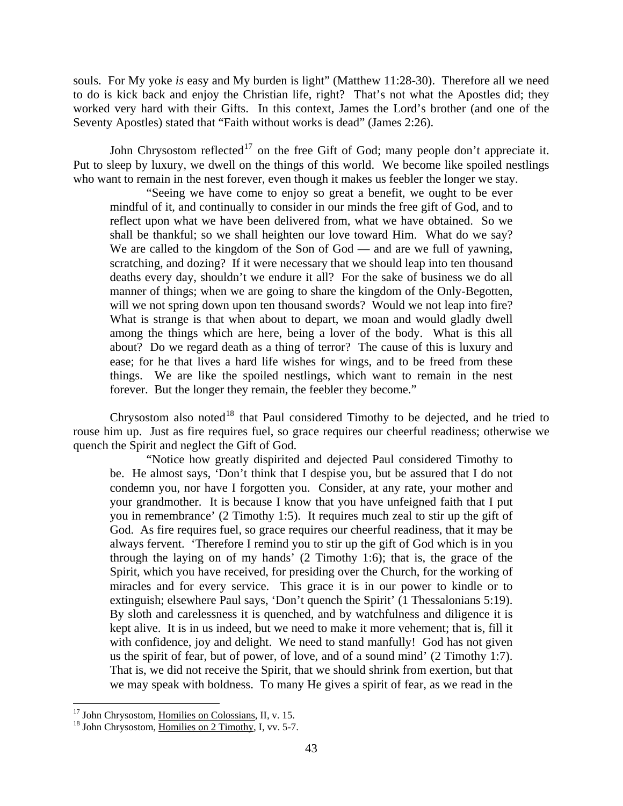souls. For My yoke *is* easy and My burden is light" (Matthew 11:28-30). Therefore all we need to do is kick back and enjoy the Christian life, right? That's not what the Apostles did; they worked very hard with their Gifts. In this context, James the Lord's brother (and one of the Seventy Apostles) stated that "Faith without works is dead" (James 2:26).

John Chrysostom reflected<sup>[17](#page-9-0)</sup> on the free Gift of God; many people don't appreciate it. Put to sleep by luxury, we dwell on the things of this world. We become like spoiled nestlings who want to remain in the nest forever, even though it makes us feebler the longer we stay.

"Seeing we have come to enjoy so great a benefit, we ought to be ever mindful of it, and continually to consider in our minds the free gift of God, and to reflect upon what we have been delivered from, what we have obtained. So we shall be thankful; so we shall heighten our love toward Him. What do we say? We are called to the kingdom of the Son of God — and are we full of yawning, scratching, and dozing? If it were necessary that we should leap into ten thousand deaths every day, shouldn't we endure it all? For the sake of business we do all manner of things; when we are going to share the kingdom of the Only-Begotten, will we not spring down upon ten thousand swords? Would we not leap into fire? What is strange is that when about to depart, we moan and would gladly dwell among the things which are here, being a lover of the body. What is this all about? Do we regard death as a thing of terror? The cause of this is luxury and ease; for he that lives a hard life wishes for wings, and to be freed from these things. We are like the spoiled nestlings, which want to remain in the nest forever. But the longer they remain, the feebler they become."

Chrysostom also noted<sup>[18](#page-9-1)</sup> that Paul considered Timothy to be dejected, and he tried to rouse him up. Just as fire requires fuel, so grace requires our cheerful readiness; otherwise we quench the Spirit and neglect the Gift of God.

"Notice how greatly dispirited and dejected Paul considered Timothy to be. He almost says, 'Don't think that I despise you, but be assured that I do not condemn you, nor have I forgotten you. Consider, at any rate, your mother and your grandmother. It is because I know that you have unfeigned faith that I put you in remembrance' (2 Timothy 1:5). It requires much zeal to stir up the gift of God. As fire requires fuel, so grace requires our cheerful readiness, that it may be always fervent. 'Therefore I remind you to stir up the gift of God which is in you through the laying on of my hands' (2 Timothy 1:6); that is, the grace of the Spirit, which you have received, for presiding over the Church, for the working of miracles and for every service. This grace it is in our power to kindle or to extinguish; elsewhere Paul says, 'Don't quench the Spirit' (1 Thessalonians 5:19). By sloth and carelessness it is quenched, and by watchfulness and diligence it is kept alive. It is in us indeed, but we need to make it more vehement; that is, fill it with confidence, joy and delight. We need to stand manfully! God has not given us the spirit of fear, but of power, of love, and of a sound mind' (2 Timothy 1:7). That is, we did not receive the Spirit, that we should shrink from exertion, but that we may speak with boldness. To many He gives a spirit of fear, as we read in the

<span id="page-9-1"></span>

<span id="page-9-0"></span><sup>&</sup>lt;sup>17</sup> John Chrysostom, <u>Homilies on Colossians</u>, II, v. 15.<br><sup>18</sup> John Chrysostom, <u>Homilies on 2 Timothy</u>, I, vv. 5-7.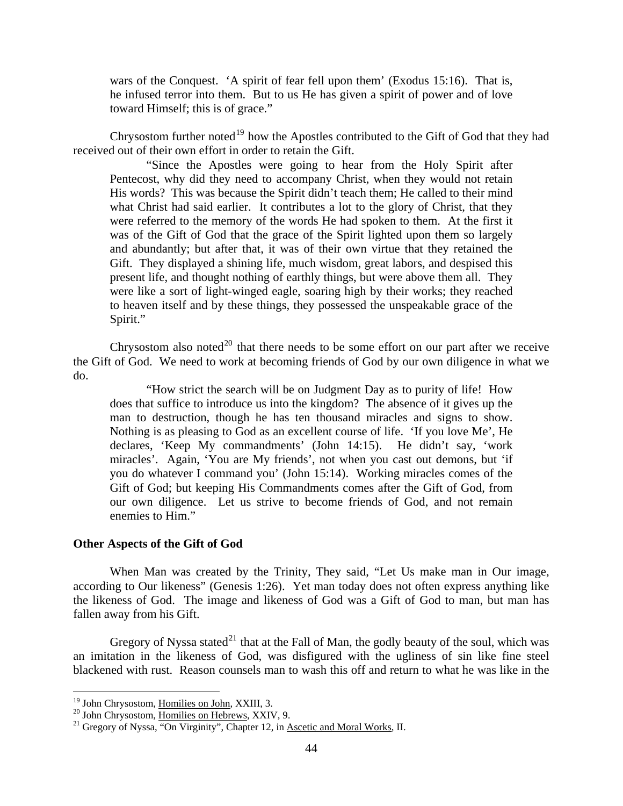wars of the Conquest. 'A spirit of fear fell upon them' (Exodus 15:16). That is, he infused terror into them. But to us He has given a spirit of power and of love toward Himself; this is of grace."

Chrysostom further noted<sup>[19](#page-10-0)</sup> how the Apostles contributed to the Gift of God that they had received out of their own effort in order to retain the Gift.

"Since the Apostles were going to hear from the Holy Spirit after Pentecost, why did they need to accompany Christ, when they would not retain His words? This was because the Spirit didn't teach them; He called to their mind what Christ had said earlier. It contributes a lot to the glory of Christ, that they were referred to the memory of the words He had spoken to them. At the first it was of the Gift of God that the grace of the Spirit lighted upon them so largely and abundantly; but after that, it was of their own virtue that they retained the Gift. They displayed a shining life, much wisdom, great labors, and despised this present life, and thought nothing of earthly things, but were above them all. They were like a sort of light-winged eagle, soaring high by their works; they reached to heaven itself and by these things, they possessed the unspeakable grace of the Spirit."

Chrysostom also noted<sup>[20](#page-10-1)</sup> that there needs to be some effort on our part after we receive the Gift of God. We need to work at becoming friends of God by our own diligence in what we do.

"How strict the search will be on Judgment Day as to purity of life! How does that suffice to introduce us into the kingdom? The absence of it gives up the man to destruction, though he has ten thousand miracles and signs to show. Nothing is as pleasing to God as an excellent course of life. 'If you love Me', He declares, 'Keep My commandments' (John 14:15). He didn't say, 'work miracles'. Again, 'You are My friends', not when you cast out demons, but 'if you do whatever I command you' (John 15:14). Working miracles comes of the Gift of God; but keeping His Commandments comes after the Gift of God, from our own diligence. Let us strive to become friends of God, and not remain enemies to Him."

# **Other Aspects of the Gift of God**

When Man was created by the Trinity, They said, "Let Us make man in Our image, according to Our likeness" (Genesis 1:26). Yet man today does not often express anything like the likeness of God. The image and likeness of God was a Gift of God to man, but man has fallen away from his Gift.

Gregory of Nyssa stated<sup>[21](#page-10-2)</sup> that at the Fall of Man, the godly beauty of the soul, which was an imitation in the likeness of God, was disfigured with the ugliness of sin like fine steel blackened with rust. Reason counsels man to wash this off and return to what he was like in the

<span id="page-10-0"></span><sup>&</sup>lt;sup>19</sup> John Chrysostom, Homilies on John, XXIII, 3.

<span id="page-10-2"></span><span id="page-10-1"></span><sup>&</sup>lt;sup>20</sup> John Chrysostom,  $\overline{\text{Homiles on Hebrews}}$ , XXIV, 9. <sup>21</sup> Gregory of Nyssa, "On Virginity", Chapter 12, in Ascetic and Moral Works, II.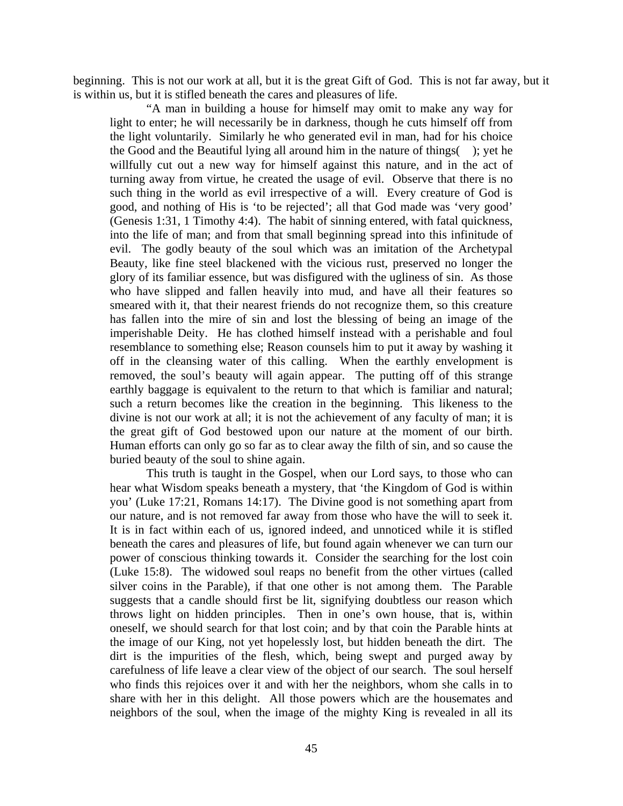beginning. This is not our work at all, but it is the great Gift of God. This is not far away, but it is within us, but it is stifled beneath the cares and pleasures of life.

"A man in building a house for himself may omit to make any way for light to enter; he will necessarily be in darkness, though he cuts himself off from the light voluntarily. Similarly he who generated evil in man, had for his choice the Good and the Beautiful lying all around him in the nature of things( ); yet he willfully cut out a new way for himself against this nature, and in the act of turning away from virtue, he created the usage of evil. Observe that there is no such thing in the world as evil irrespective of a will. Every creature of God is good, and nothing of His is 'to be rejected'; all that God made was 'very good' (Genesis 1:31, 1 Timothy 4:4). The habit of sinning entered, with fatal quickness, into the life of man; and from that small beginning spread into this infinitude of evil. The godly beauty of the soul which was an imitation of the Archetypal Beauty, like fine steel blackened with the vicious rust, preserved no longer the glory of its familiar essence, but was disfigured with the ugliness of sin. As those who have slipped and fallen heavily into mud, and have all their features so smeared with it, that their nearest friends do not recognize them, so this creature has fallen into the mire of sin and lost the blessing of being an image of the imperishable Deity. He has clothed himself instead with a perishable and foul resemblance to something else; Reason counsels him to put it away by washing it off in the cleansing water of this calling. When the earthly envelopment is removed, the soul's beauty will again appear. The putting off of this strange earthly baggage is equivalent to the return to that which is familiar and natural; such a return becomes like the creation in the beginning. This likeness to the divine is not our work at all; it is not the achievement of any faculty of man; it is the great gift of God bestowed upon our nature at the moment of our birth. Human efforts can only go so far as to clear away the filth of sin, and so cause the buried beauty of the soul to shine again.

This truth is taught in the Gospel, when our Lord says, to those who can hear what Wisdom speaks beneath a mystery, that 'the Kingdom of God is within you' (Luke 17:21, Romans 14:17). The Divine good is not something apart from our nature, and is not removed far away from those who have the will to seek it. It is in fact within each of us, ignored indeed, and unnoticed while it is stifled beneath the cares and pleasures of life, but found again whenever we can turn our power of conscious thinking towards it. Consider the searching for the lost coin (Luke 15:8). The widowed soul reaps no benefit from the other virtues (called silver coins in the Parable), if that one other is not among them. The Parable suggests that a candle should first be lit, signifying doubtless our reason which throws light on hidden principles. Then in one's own house, that is, within oneself, we should search for that lost coin; and by that coin the Parable hints at the image of our King, not yet hopelessly lost, but hidden beneath the dirt. The dirt is the impurities of the flesh, which, being swept and purged away by carefulness of life leave a clear view of the object of our search. The soul herself who finds this rejoices over it and with her the neighbors, whom she calls in to share with her in this delight. All those powers which are the housemates and neighbors of the soul, when the image of the mighty King is revealed in all its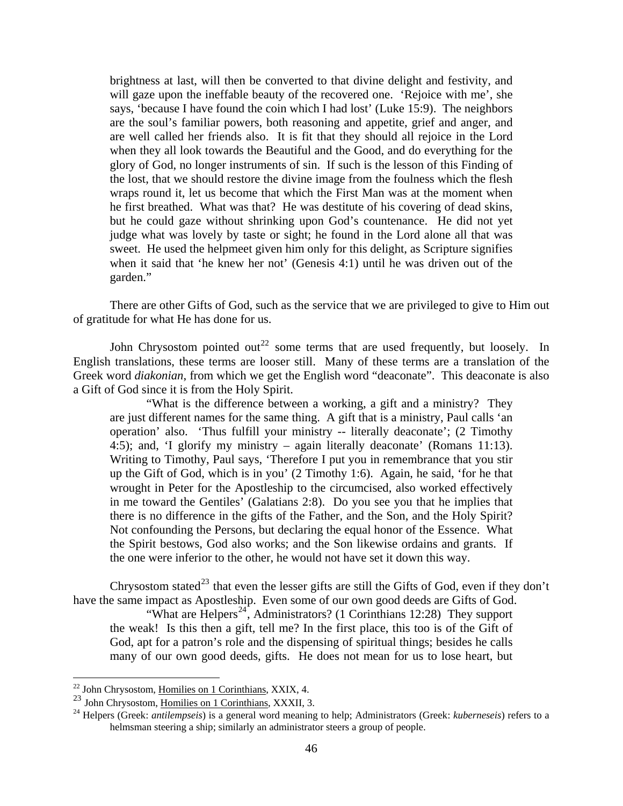brightness at last, will then be converted to that divine delight and festivity, and will gaze upon the ineffable beauty of the recovered one. 'Rejoice with me', she says, 'because I have found the coin which I had lost' (Luke 15:9). The neighbors are the soul's familiar powers, both reasoning and appetite, grief and anger, and are well called her friends also. It is fit that they should all rejoice in the Lord when they all look towards the Beautiful and the Good, and do everything for the glory of God, no longer instruments of sin. If such is the lesson of this Finding of the lost, that we should restore the divine image from the foulness which the flesh wraps round it, let us become that which the First Man was at the moment when he first breathed. What was that? He was destitute of his covering of dead skins, but he could gaze without shrinking upon God's countenance. He did not yet judge what was lovely by taste or sight; he found in the Lord alone all that was sweet. He used the helpmeet given him only for this delight, as Scripture signifies when it said that 'he knew her not' (Genesis 4:1) until he was driven out of the garden."

There are other Gifts of God, such as the service that we are privileged to give to Him out of gratitude for what He has done for us.

John Chrysostom pointed out<sup>[22](#page-12-0)</sup> some terms that are used frequently, but loosely. In English translations, these terms are looser still. Many of these terms are a translation of the Greek word *diakonian*, from which we get the English word "deaconate". This deaconate is also a Gift of God since it is from the Holy Spirit.

"What is the difference between a working, a gift and a ministry? They are just different names for the same thing. A gift that is a ministry, Paul calls 'an operation' also. 'Thus fulfill your ministry -- literally deaconate'; (2 Timothy 4:5); and, 'I glorify my ministry – again literally deaconate' (Romans 11:13). Writing to Timothy, Paul says, 'Therefore I put you in remembrance that you stir up the Gift of God, which is in you' (2 Timothy 1:6). Again, he said, 'for he that wrought in Peter for the Apostleship to the circumcised, also worked effectively in me toward the Gentiles' (Galatians 2:8). Do you see you that he implies that there is no difference in the gifts of the Father, and the Son, and the Holy Spirit? Not confounding the Persons, but declaring the equal honor of the Essence. What the Spirit bestows, God also works; and the Son likewise ordains and grants. If the one were inferior to the other, he would not have set it down this way.

Chrysostom stated<sup>[23](#page-12-1)</sup> that even the lesser gifts are still the Gifts of God, even if they don't have the same impact as Apostleship. Even some of our own good deeds are Gifts of God.

"What are  $\text{Helpers}^{24}$  $\text{Helpers}^{24}$  $\text{Helpers}^{24}$ , Administrators? (1 Corinthians 12:28) They support the weak! Is this then a gift, tell me? In the first place, this too is of the Gift of God, apt for a patron's role and the dispensing of spiritual things; besides he calls many of our own good deeds, gifts. He does not mean for us to lose heart, but

<u>.</u>

 $^{22}$  John Chrysostom, Homilies on 1 Corinthians, XXIX, 4.

<span id="page-12-2"></span><span id="page-12-1"></span><span id="page-12-0"></span><sup>23</sup> John Chrysostom, <u>Homilies on 1 Corinthians</u>, XXXII, 3.<br><sup>24</sup> Helpers (Greek: *antilempseis*) is a general word meaning to help; Administrators (Greek: *kuberneseis*) refers to a helmsman steering a ship; similarly an administrator steers a group of people.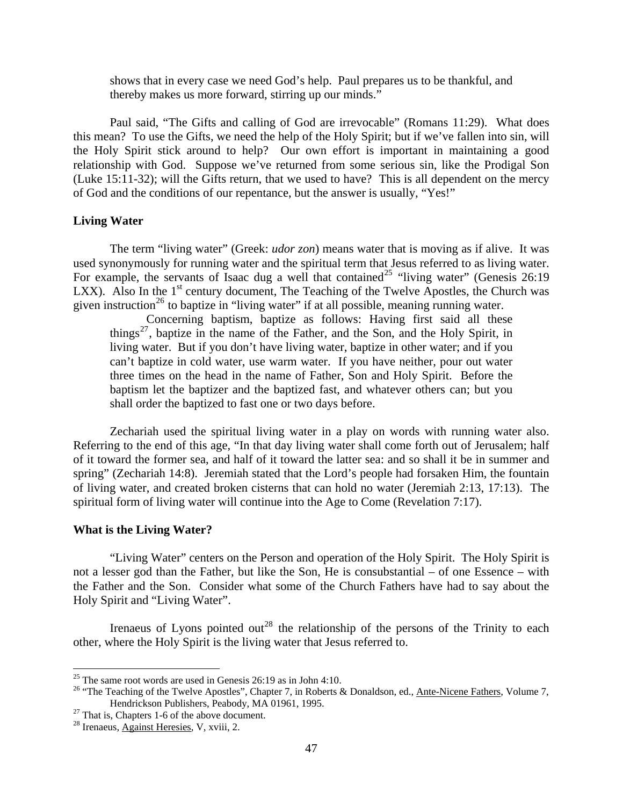<span id="page-13-0"></span>shows that in every case we need God's help. Paul prepares us to be thankful, and thereby makes us more forward, stirring up our minds."

Paul said, "The Gifts and calling of God are irrevocable" (Romans 11:29). What does this mean? To use the Gifts, we need the help of the Holy Spirit; but if we've fallen into sin, will the Holy Spirit stick around to help? Our own effort is important in maintaining a good relationship with God. Suppose we've returned from some serious sin, like the Prodigal Son (Luke 15:11-32); will the Gifts return, that we used to have? This is all dependent on the mercy of God and the conditions of our repentance, but the answer is usually, "Yes!"

# **Living Water**

The term "living water" (Greek: *udor zon*) means water that is moving as if alive. It was used synonymously for running water and the spiritual term that Jesus referred to as living water. For example, the servants of Isaac dug a well that contained<sup>[25](#page-13-1)</sup> "living water" (Genesis 26:19 LXX). Also In the  $1<sup>st</sup>$  century document, The Teaching of the Twelve Apostles, the Church was given instruction<sup>[26](#page-13-2)</sup> to baptize in "living water" if at all possible, meaning running water.

Concerning baptism, baptize as follows: Having first said all these things<sup>[27](#page-13-3)</sup>, baptize in the name of the Father, and the Son, and the Holy Spirit, in living water. But if you don't have living water, baptize in other water; and if you can't baptize in cold water, use warm water. If you have neither, pour out water three times on the head in the name of Father, Son and Holy Spirit. Before the baptism let the baptizer and the baptized fast, and whatever others can; but you shall order the baptized to fast one or two days before.

Zechariah used the spiritual living water in a play on words with running water also. Referring to the end of this age, "In that day living water shall come forth out of Jerusalem; half of it toward the former sea, and half of it toward the latter sea: and so shall it be in summer and spring" (Zechariah 14:8). Jeremiah stated that the Lord's people had forsaken Him, the fountain of living water, and created broken cisterns that can hold no water (Jeremiah 2:13, 17:13). The spiritual form of living water will continue into the Age to Come (Revelation 7:17).

#### **What is the Living Water?**

 $\overline{a}$ 

"Living Water" centers on the Person and operation of the Holy Spirit. The Holy Spirit is not a lesser god than the Father, but like the Son, He is consubstantial – of one Essence – with the Father and the Son. Consider what some of the Church Fathers have had to say about the Holy Spirit and "Living Water".

Irenaeus of Lyons pointed out<sup>[28](#page-13-4)</sup> the relationship of the persons of the Trinity to each other, where the Holy Spirit is the living water that Jesus referred to.

<span id="page-13-1"></span><sup>&</sup>lt;sup>25</sup> The same root words are used in Genesis  $26:19$  as in John 4:10.

<span id="page-13-2"></span><sup>&</sup>lt;sup>26</sup> "The Teaching of the Twelve Apostles", Chapter 7, in Roberts & Donaldson, ed., <u>Ante-Nicene Fathers</u>, Volume 7, Hendrickson Publishers, Peabody, MA 01961, 1995.

<span id="page-13-3"></span> $^{27}$  That is, Chapters 1-6 of the above document.

<span id="page-13-4"></span><sup>28</sup> Irenaeus, Against Heresies, V, xviii, 2.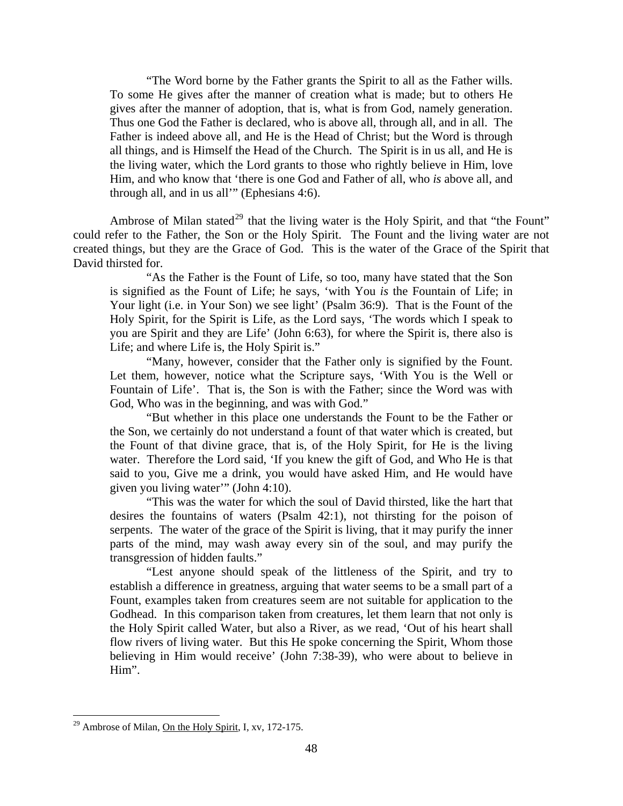"The Word borne by the Father grants the Spirit to all as the Father wills. To some He gives after the manner of creation what is made; but to others He gives after the manner of adoption, that is, what is from God, namely generation. Thus one God the Father is declared, who is above all, through all, and in all. The Father is indeed above all, and He is the Head of Christ; but the Word is through all things, and is Himself the Head of the Church. The Spirit is in us all, and He is the living water, which the Lord grants to those who rightly believe in Him, love Him, and who know that 'there is one God and Father of all, who *is* above all, and through all, and in us all'" (Ephesians 4:6).

Ambrose of Milan stated<sup>[29](#page-14-0)</sup> that the living water is the Holy Spirit, and that "the Fount" could refer to the Father, the Son or the Holy Spirit. The Fount and the living water are not created things, but they are the Grace of God. This is the water of the Grace of the Spirit that David thirsted for.

"As the Father is the Fount of Life, so too, many have stated that the Son is signified as the Fount of Life; he says, 'with You *is* the Fountain of Life; in Your light (i.e. in Your Son) we see light' (Psalm 36:9). That is the Fount of the Holy Spirit, for the Spirit is Life, as the Lord says, 'The words which I speak to you are Spirit and they are Life' (John 6:63), for where the Spirit is, there also is Life; and where Life is, the Holy Spirit is."

"Many, however, consider that the Father only is signified by the Fount. Let them, however, notice what the Scripture says, 'With You is the Well or Fountain of Life'. That is, the Son is with the Father; since the Word was with God, Who was in the beginning, and was with God."

"But whether in this place one understands the Fount to be the Father or the Son, we certainly do not understand a fount of that water which is created, but the Fount of that divine grace, that is, of the Holy Spirit, for He is the living water. Therefore the Lord said, 'If you knew the gift of God, and Who He is that said to you, Give me a drink, you would have asked Him, and He would have given you living water'" (John 4:10).

"This was the water for which the soul of David thirsted, like the hart that desires the fountains of waters (Psalm 42:1), not thirsting for the poison of serpents. The water of the grace of the Spirit is living, that it may purify the inner parts of the mind, may wash away every sin of the soul, and may purify the transgression of hidden faults."

"Lest anyone should speak of the littleness of the Spirit, and try to establish a difference in greatness, arguing that water seems to be a small part of a Fount, examples taken from creatures seem are not suitable for application to the Godhead. In this comparison taken from creatures, let them learn that not only is the Holy Spirit called Water, but also a River, as we read, 'Out of his heart shall flow rivers of living water. But this He spoke concerning the Spirit, Whom those believing in Him would receive' (John 7:38-39), who were about to believe in Him".

<span id="page-14-0"></span><sup>&</sup>lt;sup>29</sup> Ambrose of Milan, On the Holy Spirit, I, xv, 172-175.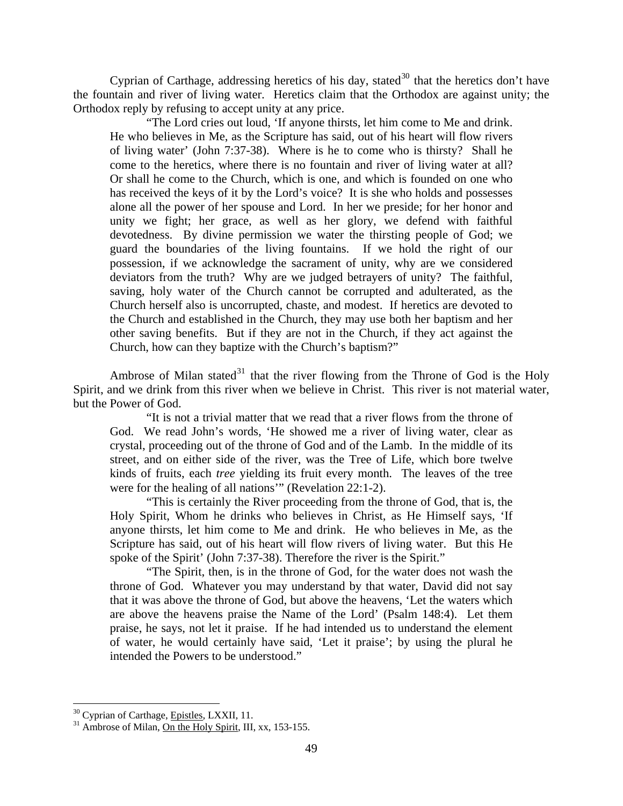Cyprian of Carthage, addressing heretics of his day, stated<sup>[30](#page-15-0)</sup> that the heretics don't have the fountain and river of living water. Heretics claim that the Orthodox are against unity; the Orthodox reply by refusing to accept unity at any price.

"The Lord cries out loud, 'If anyone thirsts, let him come to Me and drink. He who believes in Me, as the Scripture has said, out of his heart will flow rivers of living water' (John 7:37-38). Where is he to come who is thirsty? Shall he come to the heretics, where there is no fountain and river of living water at all? Or shall he come to the Church, which is one, and which is founded on one who has received the keys of it by the Lord's voice? It is she who holds and possesses alone all the power of her spouse and Lord. In her we preside; for her honor and unity we fight; her grace, as well as her glory, we defend with faithful devotedness. By divine permission we water the thirsting people of God; we guard the boundaries of the living fountains. If we hold the right of our possession, if we acknowledge the sacrament of unity, why are we considered deviators from the truth? Why are we judged betrayers of unity? The faithful, saving, holy water of the Church cannot be corrupted and adulterated, as the Church herself also is uncorrupted, chaste, and modest. If heretics are devoted to the Church and established in the Church, they may use both her baptism and her other saving benefits. But if they are not in the Church, if they act against the Church, how can they baptize with the Church's baptism?"

Ambrose of Milan stated<sup>[31](#page-15-1)</sup> that the river flowing from the Throne of God is the Holy Spirit, and we drink from this river when we believe in Christ. This river is not material water, but the Power of God.

"It is not a trivial matter that we read that a river flows from the throne of God. We read John's words, 'He showed me a river of living water, clear as crystal, proceeding out of the throne of God and of the Lamb. In the middle of its street, and on either side of the river, was the Tree of Life, which bore twelve kinds of fruits, each *tree* yielding its fruit every month. The leaves of the tree were for the healing of all nations'" (Revelation 22:1-2).

"This is certainly the River proceeding from the throne of God, that is, the Holy Spirit, Whom he drinks who believes in Christ, as He Himself says, 'If anyone thirsts, let him come to Me and drink. He who believes in Me, as the Scripture has said, out of his heart will flow rivers of living water. But this He spoke of the Spirit' (John 7:37-38). Therefore the river is the Spirit."

"The Spirit, then, is in the throne of God, for the water does not wash the throne of God. Whatever you may understand by that water, David did not say that it was above the throne of God, but above the heavens, 'Let the waters which are above the heavens praise the Name of the Lord' (Psalm 148:4). Let them praise, he says, not let it praise. If he had intended us to understand the element of water, he would certainly have said, 'Let it praise'; by using the plural he intended the Powers to be understood."

<span id="page-15-1"></span><span id="page-15-0"></span>

<sup>&</sup>lt;sup>30</sup> Cyprian of Carthage, <u>Epistles</u>, LXXII, 11.<br><sup>31</sup> Ambrose of Milan, <u>On the Holy Spirit</u>, III, xx, 153-155.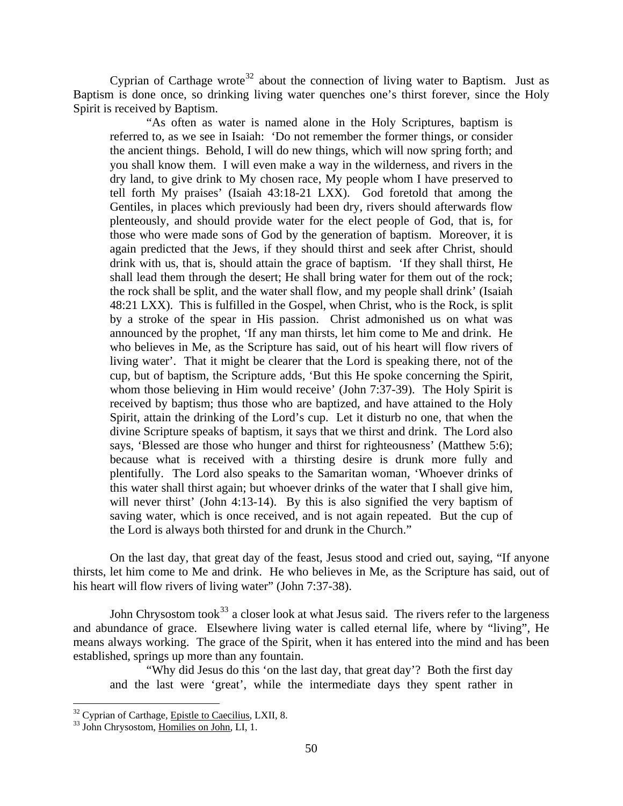Cyprian of Carthage wrote<sup>[32](#page-16-0)</sup> about the connection of living water to Baptism. Just as Baptism is done once, so drinking living water quenches one's thirst forever, since the Holy Spirit is received by Baptism.

"As often as water is named alone in the Holy Scriptures, baptism is referred to, as we see in Isaiah: 'Do not remember the former things, or consider the ancient things. Behold, I will do new things, which will now spring forth; and you shall know them. I will even make a way in the wilderness, and rivers in the dry land, to give drink to My chosen race, My people whom I have preserved to tell forth My praises' (Isaiah 43:18-21 LXX). God foretold that among the Gentiles, in places which previously had been dry, rivers should afterwards flow plenteously, and should provide water for the elect people of God, that is, for those who were made sons of God by the generation of baptism. Moreover, it is again predicted that the Jews, if they should thirst and seek after Christ, should drink with us, that is, should attain the grace of baptism. 'If they shall thirst, He shall lead them through the desert; He shall bring water for them out of the rock; the rock shall be split, and the water shall flow, and my people shall drink' (Isaiah 48:21 LXX). This is fulfilled in the Gospel, when Christ, who is the Rock, is split by a stroke of the spear in His passion. Christ admonished us on what was announced by the prophet, 'If any man thirsts, let him come to Me and drink. He who believes in Me, as the Scripture has said, out of his heart will flow rivers of living water'. That it might be clearer that the Lord is speaking there, not of the cup, but of baptism, the Scripture adds, 'But this He spoke concerning the Spirit, whom those believing in Him would receive' (John 7:37-39). The Holy Spirit is received by baptism; thus those who are baptized, and have attained to the Holy Spirit, attain the drinking of the Lord's cup. Let it disturb no one, that when the divine Scripture speaks of baptism, it says that we thirst and drink. The Lord also says, 'Blessed are those who hunger and thirst for righteousness' (Matthew 5:6); because what is received with a thirsting desire is drunk more fully and plentifully. The Lord also speaks to the Samaritan woman, 'Whoever drinks of this water shall thirst again; but whoever drinks of the water that I shall give him, will never thirst' (John 4:13-14). By this is also signified the very baptism of saving water, which is once received, and is not again repeated. But the cup of the Lord is always both thirsted for and drunk in the Church."

On the last day, that great day of the feast, Jesus stood and cried out, saying, "If anyone thirsts, let him come to Me and drink. He who believes in Me, as the Scripture has said, out of his heart will flow rivers of living water" (John 7:37-38).

John Chrysostom took<sup>[33](#page-16-1)</sup> a closer look at what Jesus said. The rivers refer to the largeness and abundance of grace. Elsewhere living water is called eternal life, where by "living", He means always working. The grace of the Spirit, when it has entered into the mind and has been established, springs up more than any fountain.

"Why did Jesus do this 'on the last day, that great day'? Both the first day and the last were 'great', while the intermediate days they spent rather in

<span id="page-16-0"></span> $32$  Cyprian of Carthage, Epistle to Caecilius, LXII, 8.  $33$  John Chrysostom, Homilies on John, LI, 1.

<span id="page-16-1"></span>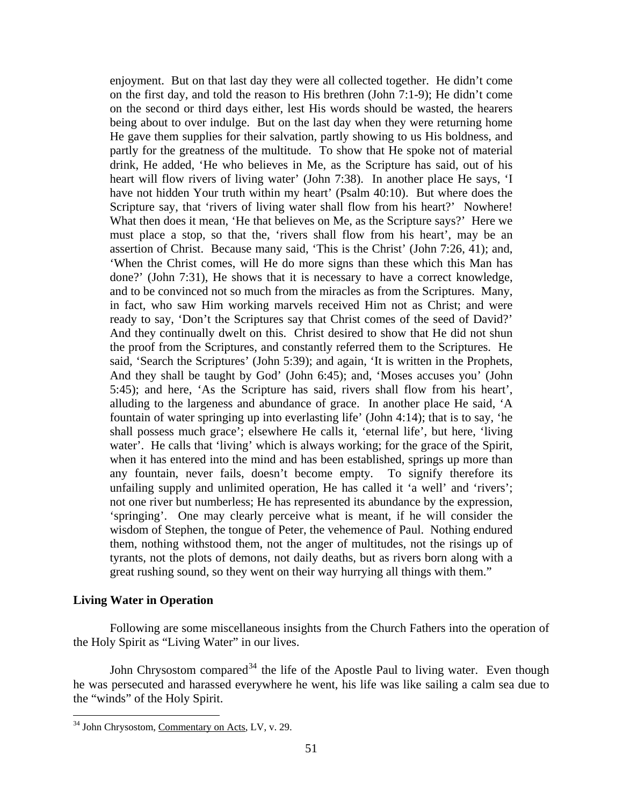<span id="page-17-0"></span>enjoyment. But on that last day they were all collected together. He didn't come on the first day, and told the reason to His brethren (John 7:1-9); He didn't come on the second or third days either, lest His words should be wasted, the hearers being about to over indulge. But on the last day when they were returning home He gave them supplies for their salvation, partly showing to us His boldness, and partly for the greatness of the multitude. To show that He spoke not of material drink, He added, 'He who believes in Me, as the Scripture has said, out of his heart will flow rivers of living water' (John 7:38). In another place He says, 'I have not hidden Your truth within my heart' (Psalm 40:10). But where does the Scripture say, that 'rivers of living water shall flow from his heart?' Nowhere! What then does it mean, 'He that believes on Me, as the Scripture says?' Here we must place a stop, so that the, 'rivers shall flow from his heart', may be an assertion of Christ. Because many said, 'This is the Christ' (John 7:26, 41); and, 'When the Christ comes, will He do more signs than these which this Man has done?' (John 7:31), He shows that it is necessary to have a correct knowledge, and to be convinced not so much from the miracles as from the Scriptures. Many, in fact, who saw Him working marvels received Him not as Christ; and were ready to say, 'Don't the Scriptures say that Christ comes of the seed of David?' And they continually dwelt on this. Christ desired to show that He did not shun the proof from the Scriptures, and constantly referred them to the Scriptures. He said, 'Search the Scriptures' (John 5:39); and again, 'It is written in the Prophets, And they shall be taught by God' (John 6:45); and, 'Moses accuses you' (John 5:45); and here, 'As the Scripture has said, rivers shall flow from his heart', alluding to the largeness and abundance of grace. In another place He said, 'A fountain of water springing up into everlasting life' (John 4:14); that is to say, 'he shall possess much grace'; elsewhere He calls it, 'eternal life', but here, 'living water'. He calls that 'living' which is always working; for the grace of the Spirit, when it has entered into the mind and has been established, springs up more than any fountain, never fails, doesn't become empty. To signify therefore its unfailing supply and unlimited operation, He has called it 'a well' and 'rivers'; not one river but numberless; He has represented its abundance by the expression, 'springing'. One may clearly perceive what is meant, if he will consider the wisdom of Stephen, the tongue of Peter, the vehemence of Paul. Nothing endured them, nothing withstood them, not the anger of multitudes, not the risings up of tyrants, not the plots of demons, not daily deaths, but as rivers born along with a great rushing sound, so they went on their way hurrying all things with them."

#### **Living Water in Operation**

<u>.</u>

Following are some miscellaneous insights from the Church Fathers into the operation of the Holy Spirit as "Living Water" in our lives.

John Chrysostom compared<sup>[34](#page-17-1)</sup> the life of the Apostle Paul to living water. Even though he was persecuted and harassed everywhere he went, his life was like sailing a calm sea due to the "winds" of the Holy Spirit.

<span id="page-17-1"></span><sup>34</sup> John Chrysostom, Commentary on Acts, LV, v. 29.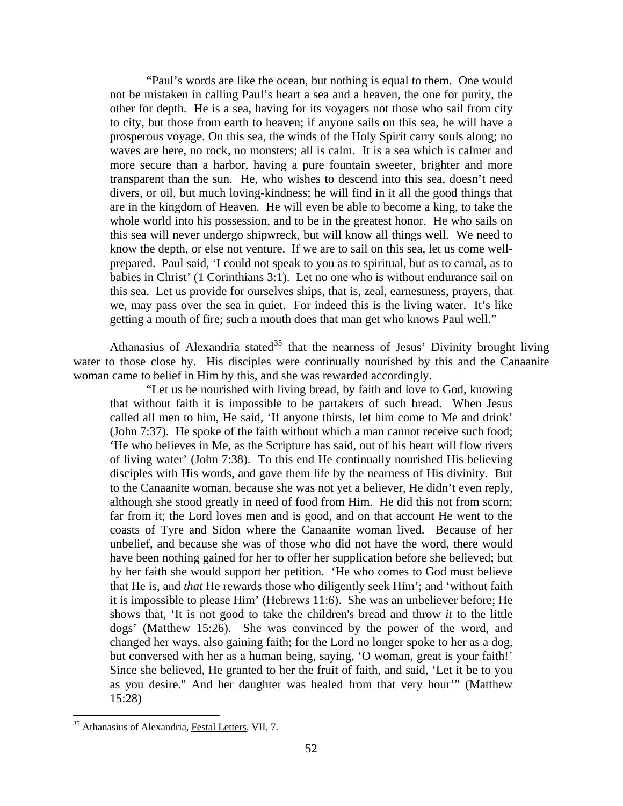"Paul's words are like the ocean, but nothing is equal to them. One would not be mistaken in calling Paul's heart a sea and a heaven, the one for purity, the other for depth. He is a sea, having for its voyagers not those who sail from city to city, but those from earth to heaven; if anyone sails on this sea, he will have a prosperous voyage. On this sea, the winds of the Holy Spirit carry souls along; no waves are here, no rock, no monsters; all is calm. It is a sea which is calmer and more secure than a harbor, having a pure fountain sweeter, brighter and more transparent than the sun. He, who wishes to descend into this sea, doesn't need divers, or oil, but much loving-kindness; he will find in it all the good things that are in the kingdom of Heaven. He will even be able to become a king, to take the whole world into his possession, and to be in the greatest honor. He who sails on this sea will never undergo shipwreck, but will know all things well. We need to know the depth, or else not venture. If we are to sail on this sea, let us come wellprepared. Paul said, 'I could not speak to you as to spiritual, but as to carnal, as to babies in Christ' (1 Corinthians 3:1). Let no one who is without endurance sail on this sea. Let us provide for ourselves ships, that is, zeal, earnestness, prayers, that we, may pass over the sea in quiet. For indeed this is the living water. It's like getting a mouth of fire; such a mouth does that man get who knows Paul well."

Athanasius of Alexandria stated<sup>[35](#page-18-0)</sup> that the nearness of Jesus' Divinity brought living water to those close by. His disciples were continually nourished by this and the Canaanite woman came to belief in Him by this, and she was rewarded accordingly.

"Let us be nourished with living bread, by faith and love to God, knowing that without faith it is impossible to be partakers of such bread. When Jesus called all men to him, He said, 'If anyone thirsts, let him come to Me and drink' (John 7:37). He spoke of the faith without which a man cannot receive such food; 'He who believes in Me, as the Scripture has said, out of his heart will flow rivers of living water' (John 7:38). To this end He continually nourished His believing disciples with His words, and gave them life by the nearness of His divinity. But to the Canaanite woman, because she was not yet a believer, He didn't even reply, although she stood greatly in need of food from Him. He did this not from scorn; far from it; the Lord loves men and is good, and on that account He went to the coasts of Tyre and Sidon where the Canaanite woman lived. Because of her unbelief, and because she was of those who did not have the word, there would have been nothing gained for her to offer her supplication before she believed; but by her faith she would support her petition. 'He who comes to God must believe that He is, and *that* He rewards those who diligently seek Him'; and 'without faith it is impossible to please Him' (Hebrews 11:6). She was an unbeliever before; He shows that, 'It is not good to take the children's bread and throw *it* to the little dogs' (Matthew 15:26). She was convinced by the power of the word, and changed her ways, also gaining faith; for the Lord no longer spoke to her as a dog, but conversed with her as a human being, saying, 'O woman, great is your faith!' Since she believed, He granted to her the fruit of faith, and said, 'Let it be to you as you desire." And her daughter was healed from that very hour'" (Matthew 15:28)

<u>.</u>

<span id="page-18-0"></span><sup>35</sup> Athanasius of Alexandria, Festal Letters, VII, 7.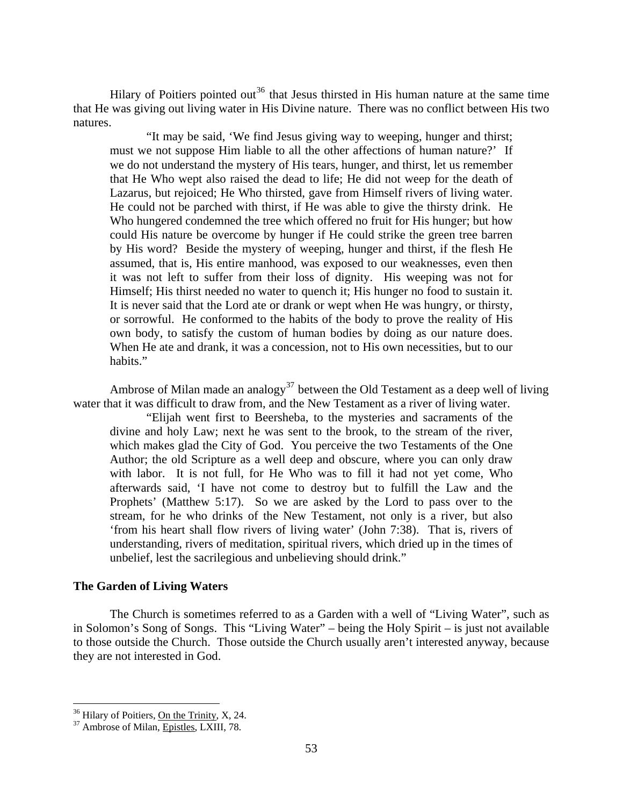<span id="page-19-0"></span>Hilary of Poitiers pointed out<sup>[36](#page-19-1)</sup> that Jesus thirsted in His human nature at the same time that He was giving out living water in His Divine nature. There was no conflict between His two natures.

"It may be said, 'We find Jesus giving way to weeping, hunger and thirst; must we not suppose Him liable to all the other affections of human nature?' If we do not understand the mystery of His tears, hunger, and thirst, let us remember that He Who wept also raised the dead to life; He did not weep for the death of Lazarus, but rejoiced; He Who thirsted, gave from Himself rivers of living water. He could not be parched with thirst, if He was able to give the thirsty drink. He Who hungered condemned the tree which offered no fruit for His hunger; but how could His nature be overcome by hunger if He could strike the green tree barren by His word? Beside the mystery of weeping, hunger and thirst, if the flesh He assumed, that is, His entire manhood, was exposed to our weaknesses, even then it was not left to suffer from their loss of dignity. His weeping was not for Himself; His thirst needed no water to quench it; His hunger no food to sustain it. It is never said that the Lord ate or drank or wept when He was hungry, or thirsty, or sorrowful. He conformed to the habits of the body to prove the reality of His own body, to satisfy the custom of human bodies by doing as our nature does. When He ate and drank, it was a concession, not to His own necessities, but to our habits."

Ambrose of Milan made an analogy<sup>[37](#page-19-2)</sup> between the Old Testament as a deep well of living water that it was difficult to draw from, and the New Testament as a river of living water.

"Elijah went first to Beersheba, to the mysteries and sacraments of the divine and holy Law; next he was sent to the brook, to the stream of the river, which makes glad the City of God. You perceive the two Testaments of the One Author; the old Scripture as a well deep and obscure, where you can only draw with labor. It is not full, for He Who was to fill it had not yet come, Who afterwards said, 'I have not come to destroy but to fulfill the Law and the Prophets' (Matthew 5:17). So we are asked by the Lord to pass over to the stream, for he who drinks of the New Testament, not only is a river, but also 'from his heart shall flow rivers of living water' (John 7:38). That is, rivers of understanding, rivers of meditation, spiritual rivers, which dried up in the times of unbelief, lest the sacrilegious and unbelieving should drink."

# **The Garden of Living Waters**

The Church is sometimes referred to as a Garden with a well of "Living Water", such as in Solomon's Song of Songs. This "Living Water" – being the Holy Spirit – is just not available to those outside the Church. Those outside the Church usually aren't interested anyway, because they are not interested in God.

<span id="page-19-1"></span> $36 \over 337$  Hilary of Poitiers, <u>On the Trinity</u>, X, 24.<br> $37$  Ambrose of Milan, Epistles, LXIII, 78.

<span id="page-19-2"></span>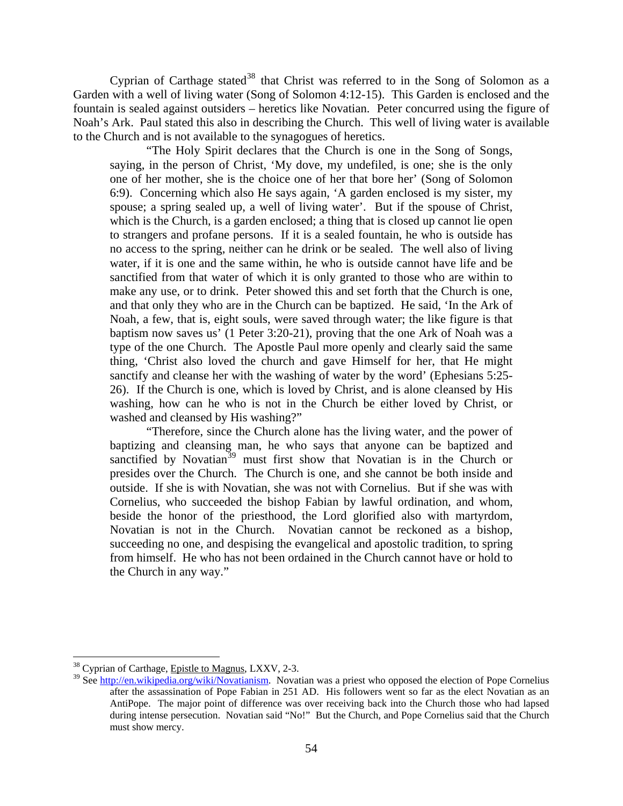Cyprian of Carthage stated<sup>[38](#page-20-0)</sup> that Christ was referred to in the Song of Solomon as a Garden with a well of living water (Song of Solomon 4:12-15). This Garden is enclosed and the fountain is sealed against outsiders – heretics like Novatian. Peter concurred using the figure of Noah's Ark. Paul stated this also in describing the Church. This well of living water is available to the Church and is not available to the synagogues of heretics.

"The Holy Spirit declares that the Church is one in the Song of Songs, saying, in the person of Christ, 'My dove, my undefiled, is one; she is the only one of her mother, she is the choice one of her that bore her' (Song of Solomon 6:9). Concerning which also He says again, 'A garden enclosed is my sister, my spouse; a spring sealed up, a well of living water'. But if the spouse of Christ, which is the Church, is a garden enclosed; a thing that is closed up cannot lie open to strangers and profane persons. If it is a sealed fountain, he who is outside has no access to the spring, neither can he drink or be sealed. The well also of living water, if it is one and the same within, he who is outside cannot have life and be sanctified from that water of which it is only granted to those who are within to make any use, or to drink. Peter showed this and set forth that the Church is one, and that only they who are in the Church can be baptized. He said, 'In the Ark of Noah, a few, that is, eight souls, were saved through water; the like figure is that baptism now saves us' (1 Peter 3:20-21), proving that the one Ark of Noah was a type of the one Church. The Apostle Paul more openly and clearly said the same thing, 'Christ also loved the church and gave Himself for her, that He might sanctify and cleanse her with the washing of water by the word' (Ephesians 5:25- 26). If the Church is one, which is loved by Christ, and is alone cleansed by His washing, how can he who is not in the Church be either loved by Christ, or washed and cleansed by His washing?"

"Therefore, since the Church alone has the living water, and the power of baptizing and cleansing man, he who says that anyone can be baptized and sanctified by Novatian<sup>[39](#page-20-1)</sup> must first show that Novatian is in the Church or presides over the Church. The Church is one, and she cannot be both inside and outside. If she is with Novatian, she was not with Cornelius. But if she was with Cornelius, who succeeded the bishop Fabian by lawful ordination, and whom, beside the honor of the priesthood, the Lord glorified also with martyrdom, Novatian is not in the Church. Novatian cannot be reckoned as a bishop, succeeding no one, and despising the evangelical and apostolic tradition, to spring from himself. He who has not been ordained in the Church cannot have or hold to the Church in any way."

<span id="page-20-0"></span><sup>38</sup> Cyprian of Carthage, Epistle to Magnus, LXXV, 2-3.

<span id="page-20-1"></span><sup>&</sup>lt;sup>39</sup> See [http://en.wikipedia.org/wiki/Novatianism.](http://en.wikipedia.org/wiki/Novatianism) Novatian was a priest who opposed the election of Pope Cornelius after the assassination of Pope Fabian in 251 AD. His followers went so far as the elect Novatian as an AntiPope. The major point of difference was over receiving back into the Church those who had lapsed during intense persecution. Novatian said "No!" But the Church, and Pope Cornelius said that the Church must show mercy.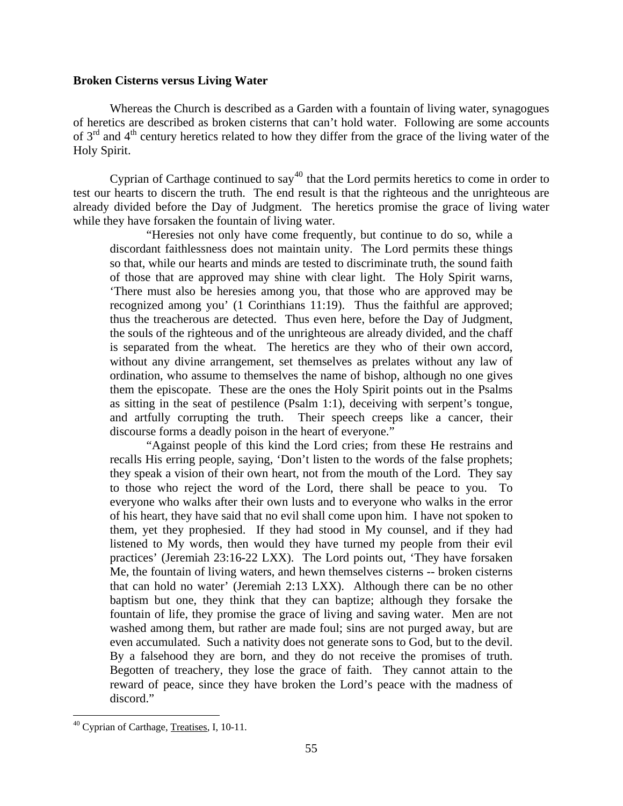#### <span id="page-21-0"></span>**Broken Cisterns versus Living Water**

Whereas the Church is described as a Garden with a fountain of living water, synagogues of heretics are described as broken cisterns that can't hold water. Following are some accounts of  $3<sup>rd</sup>$  and  $4<sup>th</sup>$  century heretics related to how they differ from the grace of the living water of the Holy Spirit.

Cyprian of Carthage continued to  $\text{say}^{40}$  $\text{say}^{40}$  $\text{say}^{40}$  that the Lord permits heretics to come in order to test our hearts to discern the truth. The end result is that the righteous and the unrighteous are already divided before the Day of Judgment. The heretics promise the grace of living water while they have forsaken the fountain of living water.

"Heresies not only have come frequently, but continue to do so, while a discordant faithlessness does not maintain unity. The Lord permits these things so that, while our hearts and minds are tested to discriminate truth, the sound faith of those that are approved may shine with clear light. The Holy Spirit warns, 'There must also be heresies among you, that those who are approved may be recognized among you' (1 Corinthians 11:19). Thus the faithful are approved; thus the treacherous are detected. Thus even here, before the Day of Judgment, the souls of the righteous and of the unrighteous are already divided, and the chaff is separated from the wheat. The heretics are they who of their own accord, without any divine arrangement, set themselves as prelates without any law of ordination, who assume to themselves the name of bishop, although no one gives them the episcopate. These are the ones the Holy Spirit points out in the Psalms as sitting in the seat of pestilence (Psalm 1:1), deceiving with serpent's tongue, and artfully corrupting the truth. Their speech creeps like a cancer, their discourse forms a deadly poison in the heart of everyone."

"Against people of this kind the Lord cries; from these He restrains and recalls His erring people, saying, 'Don't listen to the words of the false prophets; they speak a vision of their own heart, not from the mouth of the Lord. They say to those who reject the word of the Lord, there shall be peace to you. To everyone who walks after their own lusts and to everyone who walks in the error of his heart, they have said that no evil shall come upon him. I have not spoken to them, yet they prophesied. If they had stood in My counsel, and if they had listened to My words, then would they have turned my people from their evil practices' (Jeremiah 23:16-22 LXX). The Lord points out, 'They have forsaken Me, the fountain of living waters, and hewn themselves cisterns -- broken cisterns that can hold no water' (Jeremiah 2:13 LXX). Although there can be no other baptism but one, they think that they can baptize; although they forsake the fountain of life, they promise the grace of living and saving water. Men are not washed among them, but rather are made foul; sins are not purged away, but are even accumulated. Such a nativity does not generate sons to God, but to the devil. By a falsehood they are born, and they do not receive the promises of truth. Begotten of treachery, they lose the grace of faith. They cannot attain to the reward of peace, since they have broken the Lord's peace with the madness of discord."

<span id="page-21-1"></span><sup>&</sup>lt;sup>40</sup> Cyprian of Carthage, Treatises, I, 10-11.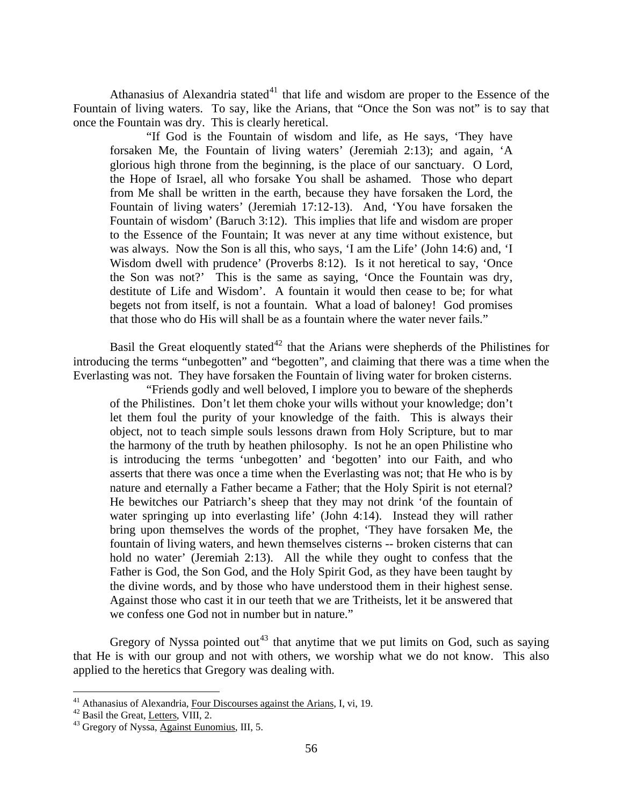Athanasius of Alexandria stated<sup>[41](#page-22-0)</sup> that life and wisdom are proper to the Essence of the Fountain of living waters. To say, like the Arians, that "Once the Son was not" is to say that once the Fountain was dry. This is clearly heretical.

"If God is the Fountain of wisdom and life, as He says, 'They have forsaken Me, the Fountain of living waters' (Jeremiah 2:13); and again, 'A glorious high throne from the beginning, is the place of our sanctuary. O Lord, the Hope of Israel, all who forsake You shall be ashamed. Those who depart from Me shall be written in the earth, because they have forsaken the Lord, the Fountain of living waters' (Jeremiah 17:12-13). And, 'You have forsaken the Fountain of wisdom' (Baruch 3:12). This implies that life and wisdom are proper to the Essence of the Fountain; It was never at any time without existence, but was always. Now the Son is all this, who says, 'I am the Life' (John 14:6) and, 'I Wisdom dwell with prudence' (Proverbs 8:12). Is it not heretical to say, 'Once the Son was not?' This is the same as saying, 'Once the Fountain was dry, destitute of Life and Wisdom'. A fountain it would then cease to be; for what begets not from itself, is not a fountain. What a load of baloney! God promises that those who do His will shall be as a fountain where the water never fails."

Basil the Great eloquently stated<sup>[42](#page-22-1)</sup> that the Arians were shepherds of the Philistines for introducing the terms "unbegotten" and "begotten", and claiming that there was a time when the Everlasting was not. They have forsaken the Fountain of living water for broken cisterns.

"Friends godly and well beloved, I implore you to beware of the shepherds of the Philistines. Don't let them choke your wills without your knowledge; don't let them foul the purity of your knowledge of the faith. This is always their object, not to teach simple souls lessons drawn from Holy Scripture, but to mar the harmony of the truth by heathen philosophy. Is not he an open Philistine who is introducing the terms 'unbegotten' and 'begotten' into our Faith, and who asserts that there was once a time when the Everlasting was not; that He who is by nature and eternally a Father became a Father; that the Holy Spirit is not eternal? He bewitches our Patriarch's sheep that they may not drink 'of the fountain of water springing up into everlasting life' (John 4:14). Instead they will rather bring upon themselves the words of the prophet, 'They have forsaken Me, the fountain of living waters, and hewn themselves cisterns -- broken cisterns that can hold no water' (Jeremiah 2:13). All the while they ought to confess that the Father is God, the Son God, and the Holy Spirit God, as they have been taught by the divine words, and by those who have understood them in their highest sense. Against those who cast it in our teeth that we are Tritheists, let it be answered that we confess one God not in number but in nature."

Gregory of Nyssa pointed out<sup>[43](#page-22-2)</sup> that anytime that we put limits on God, such as saying that He is with our group and not with others, we worship what we do not know. This also applied to the heretics that Gregory was dealing with.

<span id="page-22-0"></span><sup>&</sup>lt;sup>41</sup> Athanasius of Alexandria, <u>Four Discourses against the Arians</u>, I, vi, 19.<br><sup>42</sup> Basil the Great, <u>Letters</u>, VIII, 2.<br><sup>43</sup> Gregory of Nyssa, <u>Against Eunomius</u>, III, 5.

<span id="page-22-1"></span>

<span id="page-22-2"></span>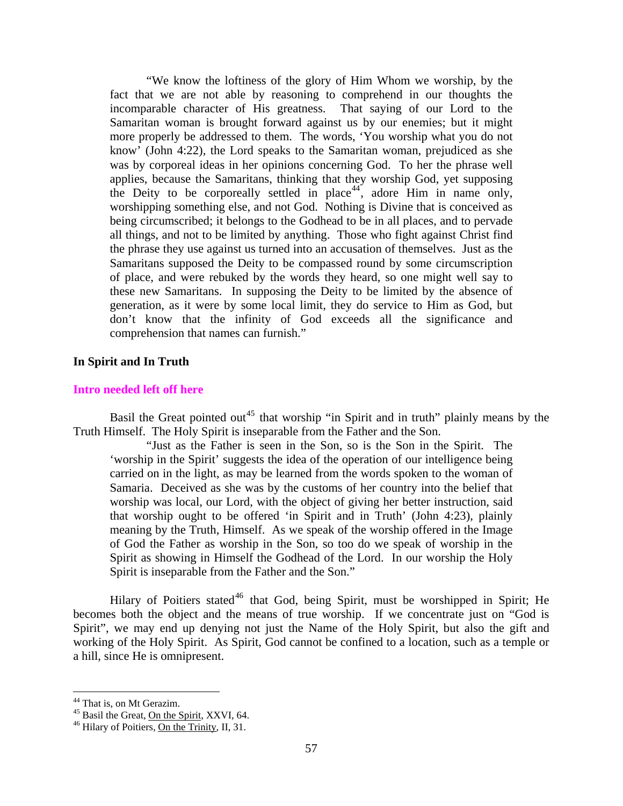<span id="page-23-0"></span>"We know the loftiness of the glory of Him Whom we worship, by the fact that we are not able by reasoning to comprehend in our thoughts the incomparable character of His greatness. That saying of our Lord to the Samaritan woman is brought forward against us by our enemies; but it might more properly be addressed to them. The words, 'You worship what you do not know' (John 4:22), the Lord speaks to the Samaritan woman, prejudiced as she was by corporeal ideas in her opinions concerning God. To her the phrase well applies, because the Samaritans, thinking that they worship God, yet supposing the Deity to be corporeally settled in place<sup>[44](#page-23-1)</sup>, adore Him in name only, worshipping something else, and not God. Nothing is Divine that is conceived as being circumscribed; it belongs to the Godhead to be in all places, and to pervade all things, and not to be limited by anything. Those who fight against Christ find the phrase they use against us turned into an accusation of themselves. Just as the Samaritans supposed the Deity to be compassed round by some circumscription of place, and were rebuked by the words they heard, so one might well say to these new Samaritans. In supposing the Deity to be limited by the absence of generation, as it were by some local limit, they do service to Him as God, but don't know that the infinity of God exceeds all the significance and comprehension that names can furnish."

# **In Spirit and In Truth**

#### **Intro needed left off here**

Basil the Great pointed out<sup>[45](#page-23-2)</sup> that worship "in Spirit and in truth" plainly means by the Truth Himself. The Holy Spirit is inseparable from the Father and the Son.

"Just as the Father is seen in the Son, so is the Son in the Spirit. The 'worship in the Spirit' suggests the idea of the operation of our intelligence being carried on in the light, as may be learned from the words spoken to the woman of Samaria. Deceived as she was by the customs of her country into the belief that worship was local, our Lord, with the object of giving her better instruction, said that worship ought to be offered 'in Spirit and in Truth' (John 4:23), plainly meaning by the Truth, Himself. As we speak of the worship offered in the Image of God the Father as worship in the Son, so too do we speak of worship in the Spirit as showing in Himself the Godhead of the Lord. In our worship the Holy Spirit is inseparable from the Father and the Son."

Hilary of Poitiers stated<sup>[46](#page-23-3)</sup> that God, being Spirit, must be worshipped in Spirit; He becomes both the object and the means of true worship. If we concentrate just on "God is Spirit", we may end up denying not just the Name of the Holy Spirit, but also the gift and working of the Holy Spirit. As Spirit, God cannot be confined to a location, such as a temple or a hill, since He is omnipresent.

<sup>&</sup>lt;sup>44</sup> That is, on Mt Gerazim.

<span id="page-23-3"></span><span id="page-23-2"></span><span id="page-23-1"></span><sup>&</sup>lt;sup>45</sup> Basil the Great, <u>On the Spirit</u>, XXVI, 64.<br><sup>46</sup> Hilary of Poitiers, On the Trinity, II, 31.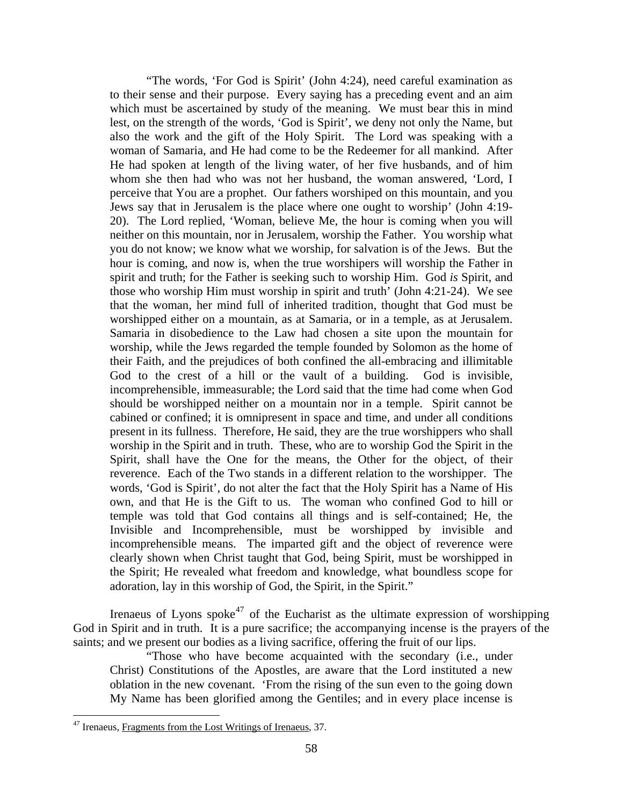"The words, 'For God is Spirit' (John 4:24), need careful examination as to their sense and their purpose. Every saying has a preceding event and an aim which must be ascertained by study of the meaning. We must bear this in mind lest, on the strength of the words, 'God is Spirit', we deny not only the Name, but also the work and the gift of the Holy Spirit. The Lord was speaking with a woman of Samaria, and He had come to be the Redeemer for all mankind. After He had spoken at length of the living water, of her five husbands, and of him whom she then had who was not her husband, the woman answered, 'Lord, I perceive that You are a prophet. Our fathers worshiped on this mountain, and you Jews say that in Jerusalem is the place where one ought to worship' (John 4:19- 20). The Lord replied, 'Woman, believe Me, the hour is coming when you will neither on this mountain, nor in Jerusalem, worship the Father. You worship what you do not know; we know what we worship, for salvation is of the Jews. But the hour is coming, and now is, when the true worshipers will worship the Father in spirit and truth; for the Father is seeking such to worship Him. God *is* Spirit, and those who worship Him must worship in spirit and truth' (John 4:21-24). We see that the woman, her mind full of inherited tradition, thought that God must be worshipped either on a mountain, as at Samaria, or in a temple, as at Jerusalem. Samaria in disobedience to the Law had chosen a site upon the mountain for worship, while the Jews regarded the temple founded by Solomon as the home of their Faith, and the prejudices of both confined the all-embracing and illimitable God to the crest of a hill or the vault of a building. God is invisible, incomprehensible, immeasurable; the Lord said that the time had come when God should be worshipped neither on a mountain nor in a temple. Spirit cannot be cabined or confined; it is omnipresent in space and time, and under all conditions present in its fullness. Therefore, He said, they are the true worshippers who shall worship in the Spirit and in truth. These, who are to worship God the Spirit in the Spirit, shall have the One for the means, the Other for the object, of their reverence. Each of the Two stands in a different relation to the worshipper. The words, 'God is Spirit', do not alter the fact that the Holy Spirit has a Name of His own, and that He is the Gift to us. The woman who confined God to hill or temple was told that God contains all things and is self-contained; He, the Invisible and Incomprehensible, must be worshipped by invisible and incomprehensible means. The imparted gift and the object of reverence were clearly shown when Christ taught that God, being Spirit, must be worshipped in the Spirit; He revealed what freedom and knowledge, what boundless scope for adoration, lay in this worship of God, the Spirit, in the Spirit."

Irenaeus of Lyons spoke<sup>[47](#page-24-0)</sup> of the Eucharist as the ultimate expression of worshipping God in Spirit and in truth. It is a pure sacrifice; the accompanying incense is the prayers of the saints; and we present our bodies as a living sacrifice, offering the fruit of our lips.

"Those who have become acquainted with the secondary (i.e., under Christ) Constitutions of the Apostles, are aware that the Lord instituted a new oblation in the new covenant. 'From the rising of the sun even to the going down My Name has been glorified among the Gentiles; and in every place incense is

<u>.</u>

<span id="page-24-0"></span><sup>&</sup>lt;sup>47</sup> Irenaeus, Fragments from the Lost Writings of Irenaeus, 37.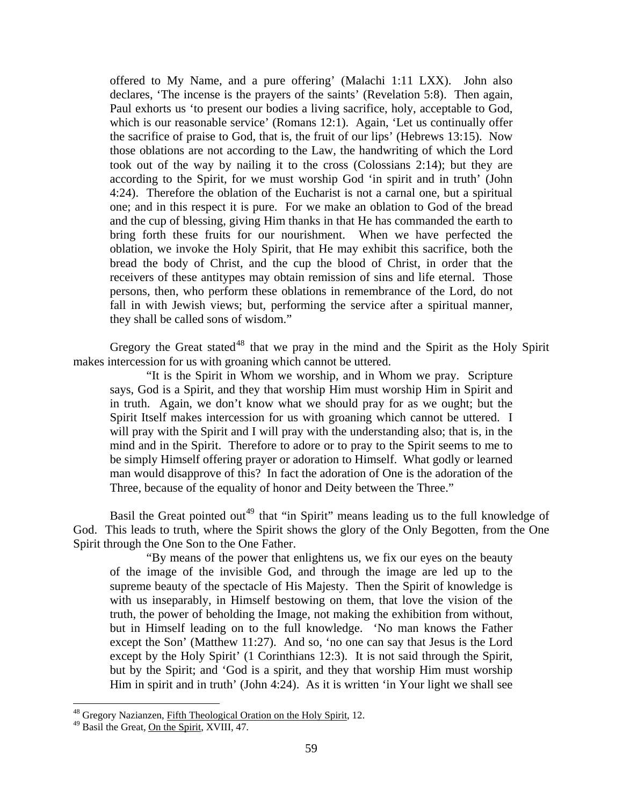offered to My Name, and a pure offering' (Malachi 1:11 LXX). John also declares, 'The incense is the prayers of the saints' (Revelation 5:8). Then again, Paul exhorts us 'to present our bodies a living sacrifice, holy, acceptable to God, which is our reasonable service' (Romans 12:1). Again, 'Let us continually offer the sacrifice of praise to God, that is, the fruit of our lips' (Hebrews 13:15). Now those oblations are not according to the Law, the handwriting of which the Lord took out of the way by nailing it to the cross (Colossians 2:14); but they are according to the Spirit, for we must worship God 'in spirit and in truth' (John 4:24). Therefore the oblation of the Eucharist is not a carnal one, but a spiritual one; and in this respect it is pure. For we make an oblation to God of the bread and the cup of blessing, giving Him thanks in that He has commanded the earth to bring forth these fruits for our nourishment. When we have perfected the oblation, we invoke the Holy Spirit, that He may exhibit this sacrifice, both the bread the body of Christ, and the cup the blood of Christ, in order that the receivers of these antitypes may obtain remission of sins and life eternal. Those persons, then, who perform these oblations in remembrance of the Lord, do not fall in with Jewish views; but, performing the service after a spiritual manner, they shall be called sons of wisdom."

Gregory the Great stated<sup>[48](#page-25-0)</sup> that we pray in the mind and the Spirit as the Holy Spirit makes intercession for us with groaning which cannot be uttered.

"It is the Spirit in Whom we worship, and in Whom we pray. Scripture says, God is a Spirit, and they that worship Him must worship Him in Spirit and in truth. Again, we don't know what we should pray for as we ought; but the Spirit Itself makes intercession for us with groaning which cannot be uttered. I will pray with the Spirit and I will pray with the understanding also; that is, in the mind and in the Spirit. Therefore to adore or to pray to the Spirit seems to me to be simply Himself offering prayer or adoration to Himself. What godly or learned man would disapprove of this? In fact the adoration of One is the adoration of the Three, because of the equality of honor and Deity between the Three."

Basil the Great pointed out<sup>[49](#page-25-1)</sup> that "in Spirit" means leading us to the full knowledge of God. This leads to truth, where the Spirit shows the glory of the Only Begotten, from the One Spirit through the One Son to the One Father.

"By means of the power that enlightens us, we fix our eyes on the beauty of the image of the invisible God, and through the image are led up to the supreme beauty of the spectacle of His Majesty. Then the Spirit of knowledge is with us inseparably, in Himself bestowing on them, that love the vision of the truth, the power of beholding the Image, not making the exhibition from without, but in Himself leading on to the full knowledge. 'No man knows the Father except the Son' (Matthew 11:27). And so, 'no one can say that Jesus is the Lord except by the Holy Spirit' (1 Corinthians 12:3). It is not said through the Spirit, but by the Spirit; and 'God is a spirit, and they that worship Him must worship Him in spirit and in truth' (John 4:24). As it is written 'in Your light we shall see

<span id="page-25-0"></span><sup>&</sup>lt;sup>48</sup> Gregory Nazianzen, *Fifth Theological Oration on the Holy Spirit*, 12.

<span id="page-25-1"></span><sup>&</sup>lt;sup>49</sup> Basil the Great, **On the Spirit**, XVIII, 47.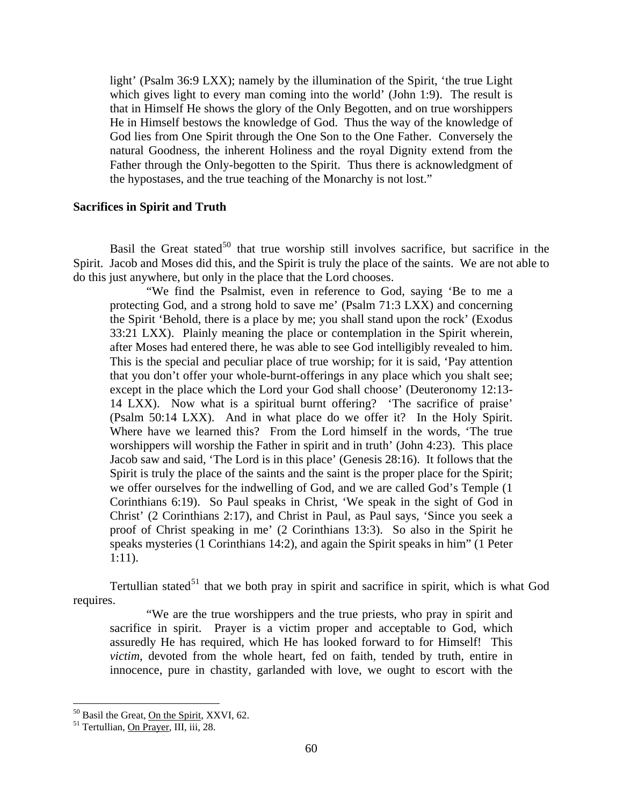<span id="page-26-0"></span>light' (Psalm 36:9 LXX); namely by the illumination of the Spirit, 'the true Light which gives light to every man coming into the world' (John 1:9). The result is that in Himself He shows the glory of the Only Begotten, and on true worshippers He in Himself bestows the knowledge of God. Thus the way of the knowledge of God lies from One Spirit through the One Son to the One Father. Conversely the natural Goodness, the inherent Holiness and the royal Dignity extend from the Father through the Only-begotten to the Spirit. Thus there is acknowledgment of the hypostases, and the true teaching of the Monarchy is not lost."

# **Sacrifices in Spirit and Truth**

Basil the Great stated<sup>[50](#page-26-1)</sup> that true worship still involves sacrifice, but sacrifice in the Spirit. Jacob and Moses did this, and the Spirit is truly the place of the saints. We are not able to do this just anywhere, but only in the place that the Lord chooses.

"We find the Psalmist, even in reference to God, saying 'Be to me a protecting God, and a strong hold to save me' (Psalm 71:3 LXX) and concerning the Spirit 'Behold, there is a place by me; you shall stand upon the rock' (Exodus 33:21 LXX). Plainly meaning the place or contemplation in the Spirit wherein, after Moses had entered there, he was able to see God intelligibly revealed to him. This is the special and peculiar place of true worship; for it is said, 'Pay attention that you don't offer your whole-burnt-offerings in any place which you shalt see; except in the place which the Lord your God shall choose' (Deuteronomy 12:13- 14 LXX). Now what is a spiritual burnt offering? 'The sacrifice of praise' (Psalm 50:14 LXX). And in what place do we offer it? In the Holy Spirit. Where have we learned this? From the Lord himself in the words, 'The true worshippers will worship the Father in spirit and in truth' (John 4:23). This place Jacob saw and said, 'The Lord is in this place' (Genesis 28:16). It follows that the Spirit is truly the place of the saints and the saint is the proper place for the Spirit; we offer ourselves for the indwelling of God, and we are called God's Temple (1 Corinthians 6:19). So Paul speaks in Christ, 'We speak in the sight of God in Christ' (2 Corinthians 2:17), and Christ in Paul, as Paul says, 'Since you seek a proof of Christ speaking in me' (2 Corinthians 13:3). So also in the Spirit he speaks mysteries (1 Corinthians 14:2), and again the Spirit speaks in him" (1 Peter 1:11).

Tertullian stated<sup>[51](#page-26-2)</sup> that we both pray in spirit and sacrifice in spirit, which is what God requires.

"We are the true worshippers and the true priests, who pray in spirit and sacrifice in spirit. Prayer is a victim proper and acceptable to God, which assuredly He has required, which He has looked forward to for Himself! This *victim*, devoted from the whole heart, fed on faith, tended by truth, entire in innocence, pure in chastity, garlanded with love, we ought to escort with the

1

<span id="page-26-1"></span><sup>&</sup>lt;sup>50</sup> Basil the Great, <u>On the Spirit</u>, XXVI, 62.<br><sup>51</sup> Tertullian, <u>On Prayer</u>, III, iii, 28.

<span id="page-26-2"></span>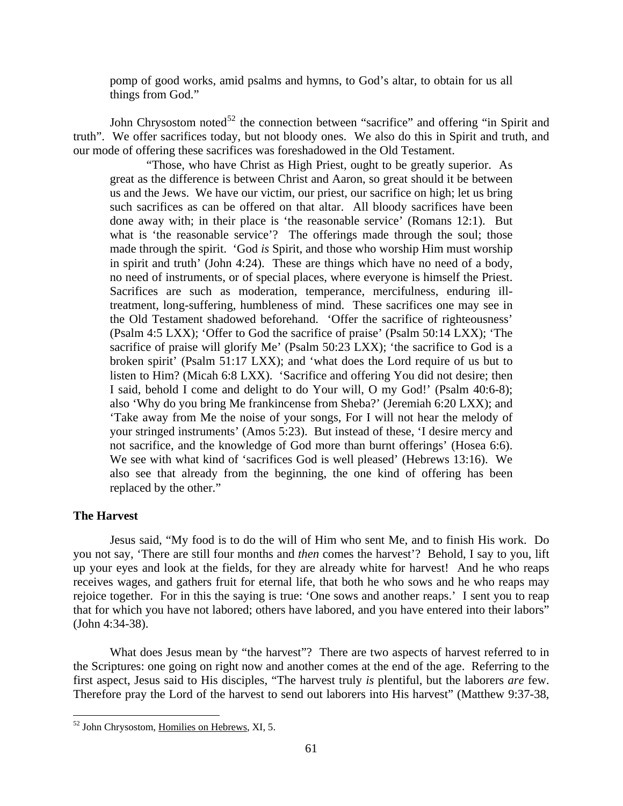<span id="page-27-0"></span>pomp of good works, amid psalms and hymns, to God's altar, to obtain for us all things from God."

John Chrysostom noted<sup>[52](#page-27-1)</sup> the connection between "sacrifice" and offering "in Spirit and truth". We offer sacrifices today, but not bloody ones. We also do this in Spirit and truth, and our mode of offering these sacrifices was foreshadowed in the Old Testament.

"Those, who have Christ as High Priest, ought to be greatly superior. As great as the difference is between Christ and Aaron, so great should it be between us and the Jews. We have our victim, our priest, our sacrifice on high; let us bring such sacrifices as can be offered on that altar. All bloody sacrifices have been done away with; in their place is 'the reasonable service' (Romans 12:1). But what is 'the reasonable service'? The offerings made through the soul; those made through the spirit. 'God *is* Spirit, and those who worship Him must worship in spirit and truth' (John 4:24). These are things which have no need of a body, no need of instruments, or of special places, where everyone is himself the Priest. Sacrifices are such as moderation, temperance, mercifulness, enduring illtreatment, long-suffering, humbleness of mind. These sacrifices one may see in the Old Testament shadowed beforehand. 'Offer the sacrifice of righteousness' (Psalm 4:5 LXX); 'Offer to God the sacrifice of praise' (Psalm 50:14 LXX); 'The sacrifice of praise will glorify Me' (Psalm 50:23 LXX); 'the sacrifice to God is a broken spirit' (Psalm 51:17 LXX); and 'what does the Lord require of us but to listen to Him? (Micah 6:8 LXX). 'Sacrifice and offering You did not desire; then I said, behold I come and delight to do Your will, O my God!' (Psalm 40:6-8); also 'Why do you bring Me frankincense from Sheba?' (Jeremiah 6:20 LXX); and 'Take away from Me the noise of your songs, For I will not hear the melody of your stringed instruments' (Amos 5:23). But instead of these, 'I desire mercy and not sacrifice, and the knowledge of God more than burnt offerings' (Hosea 6:6). We see with what kind of 'sacrifices God is well pleased' (Hebrews 13:16). We also see that already from the beginning, the one kind of offering has been replaced by the other."

# **The Harvest**

 $\overline{a}$ 

Jesus said, "My food is to do the will of Him who sent Me, and to finish His work. Do you not say, 'There are still four months and *then* comes the harvest'? Behold, I say to you, lift up your eyes and look at the fields, for they are already white for harvest! And he who reaps receives wages, and gathers fruit for eternal life, that both he who sows and he who reaps may rejoice together. For in this the saying is true: 'One sows and another reaps.' I sent you to reap that for which you have not labored; others have labored, and you have entered into their labors" (John 4:34-38).

What does Jesus mean by "the harvest"? There are two aspects of harvest referred to in the Scriptures: one going on right now and another comes at the end of the age. Referring to the first aspect, Jesus said to His disciples, "The harvest truly *is* plentiful, but the laborers *are* few. Therefore pray the Lord of the harvest to send out laborers into His harvest" (Matthew 9:37-38,

<span id="page-27-1"></span><sup>52</sup> John Chrysostom, Homilies on Hebrews, XI, 5.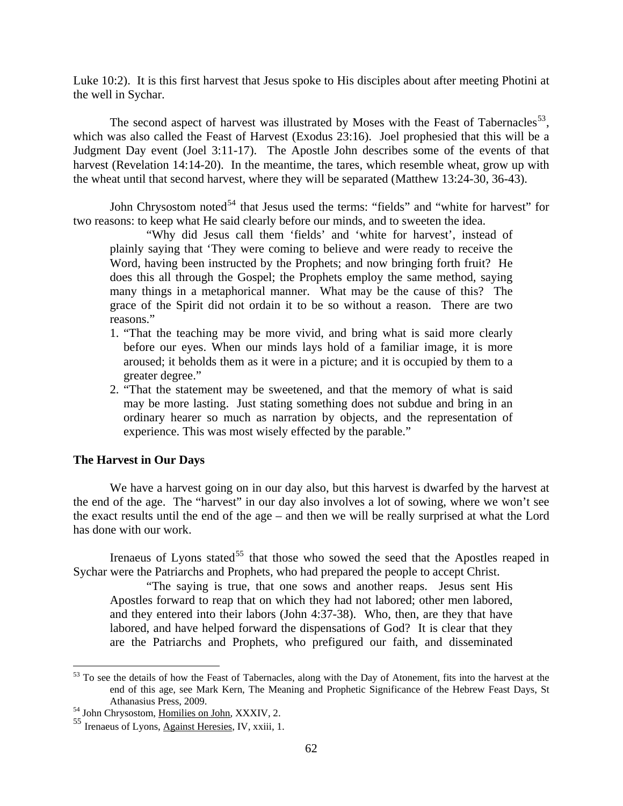<span id="page-28-0"></span>Luke 10:2). It is this first harvest that Jesus spoke to His disciples about after meeting Photini at the well in Sychar.

The second aspect of harvest was illustrated by Moses with the Feast of Tabernacles<sup>[53](#page-28-1)</sup>, which was also called the Feast of Harvest (Exodus 23:16). Joel prophesied that this will be a Judgment Day event (Joel 3:11-17). The Apostle John describes some of the events of that harvest (Revelation 14:14-20). In the meantime, the tares, which resemble wheat, grow up with the wheat until that second harvest, where they will be separated (Matthew 13:24-30, 36-43).

John Chrysostom noted<sup>[54](#page-28-2)</sup> that Jesus used the terms: "fields" and "white for harvest" for two reasons: to keep what He said clearly before our minds, and to sweeten the idea.

"Why did Jesus call them 'fields' and 'white for harvest', instead of plainly saying that 'They were coming to believe and were ready to receive the Word, having been instructed by the Prophets; and now bringing forth fruit? He does this all through the Gospel; the Prophets employ the same method, saying many things in a metaphorical manner. What may be the cause of this? The grace of the Spirit did not ordain it to be so without a reason. There are two reasons."

- 1. "That the teaching may be more vivid, and bring what is said more clearly before our eyes. When our minds lays hold of a familiar image, it is more aroused; it beholds them as it were in a picture; and it is occupied by them to a greater degree."
- 2. "That the statement may be sweetened, and that the memory of what is said may be more lasting. Just stating something does not subdue and bring in an ordinary hearer so much as narration by objects, and the representation of experience. This was most wisely effected by the parable."

# **The Harvest in Our Days**

 $\overline{a}$ 

We have a harvest going on in our day also, but this harvest is dwarfed by the harvest at the end of the age. The "harvest" in our day also involves a lot of sowing, where we won't see the exact results until the end of the age – and then we will be really surprised at what the Lord has done with our work.

Irenaeus of Lyons stated<sup>[55](#page-28-3)</sup> that those who sowed the seed that the Apostles reaped in Sychar were the Patriarchs and Prophets, who had prepared the people to accept Christ.

"The saying is true, that one sows and another reaps. Jesus sent His Apostles forward to reap that on which they had not labored; other men labored, and they entered into their labors (John 4:37-38). Who, then, are they that have labored, and have helped forward the dispensations of God? It is clear that they are the Patriarchs and Prophets, who prefigured our faith, and disseminated

<span id="page-28-1"></span> $53$  To see the details of how the Feast of Tabernacles, along with the Day of Atonement, fits into the harvest at the end of this age, see Mark Kern, The Meaning and Prophetic Significance of the Hebrew Feast Days, St Athanasius Press, 2009.<br><sup>54</sup> John Chrysostom, <u>Homilies on John</u>, XXXIV, 2.

<span id="page-28-3"></span><span id="page-28-2"></span><sup>55</sup> Irenaeus of Lyons, Against Heresies, IV, xxiii, 1.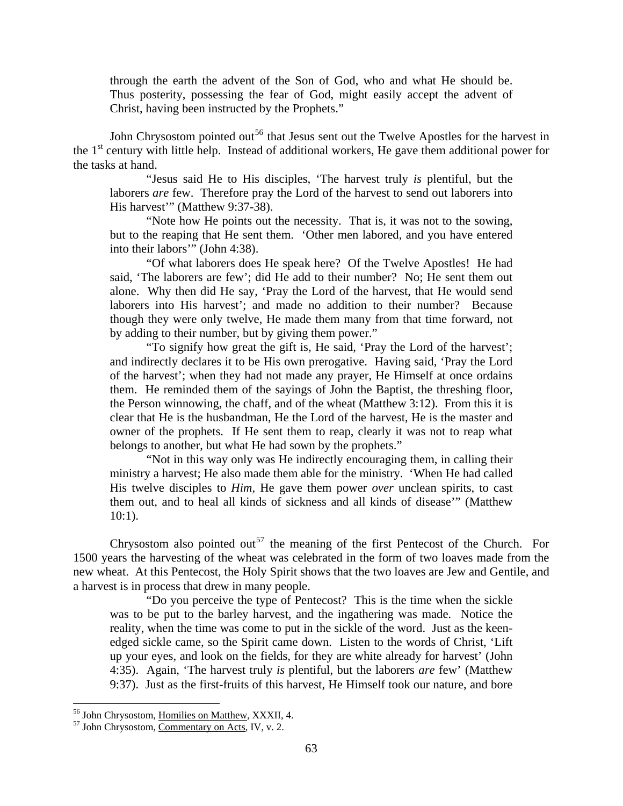through the earth the advent of the Son of God, who and what He should be. Thus posterity, possessing the fear of God, might easily accept the advent of Christ, having been instructed by the Prophets."

John Chrysostom pointed out<sup>[56](#page-29-0)</sup> that Jesus sent out the Twelve Apostles for the harvest in the  $1<sup>st</sup>$  century with little help. Instead of additional workers, He gave them additional power for the tasks at hand.

"Jesus said He to His disciples, 'The harvest truly *is* plentiful, but the laborers *are* few. Therefore pray the Lord of the harvest to send out laborers into His harvest'" (Matthew 9:37-38).

"Note how He points out the necessity. That is, it was not to the sowing, but to the reaping that He sent them. 'Other men labored, and you have entered into their labors'" (John 4:38).

"Of what laborers does He speak here? Of the Twelve Apostles! He had said, 'The laborers are few'; did He add to their number? No; He sent them out alone. Why then did He say, 'Pray the Lord of the harvest, that He would send laborers into His harvest'; and made no addition to their number? Because though they were only twelve, He made them many from that time forward, not by adding to their number, but by giving them power."

"To signify how great the gift is, He said, 'Pray the Lord of the harvest'; and indirectly declares it to be His own prerogative. Having said, 'Pray the Lord of the harvest'; when they had not made any prayer, He Himself at once ordains them. He reminded them of the sayings of John the Baptist, the threshing floor, the Person winnowing, the chaff, and of the wheat (Matthew 3:12). From this it is clear that He is the husbandman, He the Lord of the harvest, He is the master and owner of the prophets. If He sent them to reap, clearly it was not to reap what belongs to another, but what He had sown by the prophets."

"Not in this way only was He indirectly encouraging them, in calling their ministry a harvest; He also made them able for the ministry. 'When He had called His twelve disciples to *Him,* He gave them power *over* unclean spirits, to cast them out, and to heal all kinds of sickness and all kinds of disease'" (Matthew 10:1).

Chrysostom also pointed out<sup>[57](#page-29-1)</sup> the meaning of the first Pentecost of the Church. For 1500 years the harvesting of the wheat was celebrated in the form of two loaves made from the new wheat. At this Pentecost, the Holy Spirit shows that the two loaves are Jew and Gentile, and a harvest is in process that drew in many people.

"Do you perceive the type of Pentecost? This is the time when the sickle was to be put to the barley harvest, and the ingathering was made. Notice the reality, when the time was come to put in the sickle of the word. Just as the keenedged sickle came, so the Spirit came down. Listen to the words of Christ, 'Lift up your eyes, and look on the fields, for they are white already for harvest' (John 4:35). Again, 'The harvest truly *is* plentiful, but the laborers *are* few' (Matthew 9:37). Just as the first-fruits of this harvest, He Himself took our nature, and bore

<span id="page-29-0"></span><sup>&</sup>lt;sup>56</sup> John Chrysostom, Homilies on Matthew, XXXII, 4.

<span id="page-29-1"></span> $\frac{57 \text{ John Chrysostom}}{\text{Common Acts, IV, v. 2.}}$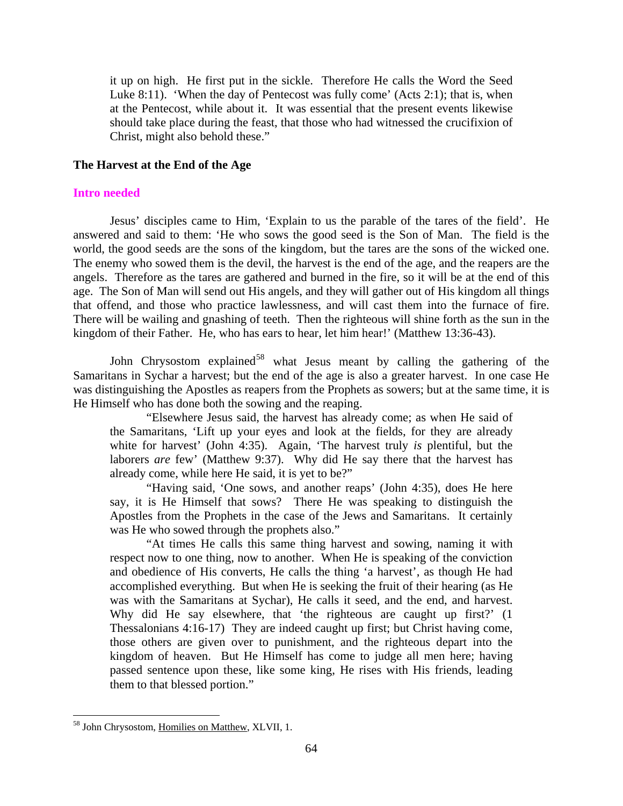<span id="page-30-0"></span>it up on high. He first put in the sickle. Therefore He calls the Word the Seed Luke 8:11). 'When the day of Pentecost was fully come' (Acts 2:1); that is, when at the Pentecost, while about it. It was essential that the present events likewise should take place during the feast, that those who had witnessed the crucifixion of Christ, might also behold these."

## **The Harvest at the End of the Age**

#### **Intro needed**

Jesus' disciples came to Him, 'Explain to us the parable of the tares of the field'. He answered and said to them: 'He who sows the good seed is the Son of Man. The field is the world, the good seeds are the sons of the kingdom, but the tares are the sons of the wicked one. The enemy who sowed them is the devil, the harvest is the end of the age, and the reapers are the angels. Therefore as the tares are gathered and burned in the fire, so it will be at the end of this age. The Son of Man will send out His angels, and they will gather out of His kingdom all things that offend, and those who practice lawlessness, and will cast them into the furnace of fire. There will be wailing and gnashing of teeth. Then the righteous will shine forth as the sun in the kingdom of their Father. He, who has ears to hear, let him hear!' (Matthew 13:36-43).

John Chrysostom explained<sup>[58](#page-30-1)</sup> what Jesus meant by calling the gathering of the Samaritans in Sychar a harvest; but the end of the age is also a greater harvest. In one case He was distinguishing the Apostles as reapers from the Prophets as sowers; but at the same time, it is He Himself who has done both the sowing and the reaping.

"Elsewhere Jesus said, the harvest has already come; as when He said of the Samaritans, 'Lift up your eyes and look at the fields, for they are already white for harvest' (John 4:35). Again, 'The harvest truly *is* plentiful, but the laborers *are* few' (Matthew 9:37). Why did He say there that the harvest has already come, while here He said, it is yet to be?"

"Having said, 'One sows, and another reaps' (John 4:35), does He here say, it is He Himself that sows? There He was speaking to distinguish the Apostles from the Prophets in the case of the Jews and Samaritans. It certainly was He who sowed through the prophets also."

"At times He calls this same thing harvest and sowing, naming it with respect now to one thing, now to another. When He is speaking of the conviction and obedience of His converts, He calls the thing 'a harvest', as though He had accomplished everything. But when He is seeking the fruit of their hearing (as He was with the Samaritans at Sychar), He calls it seed, and the end, and harvest. Why did He say elsewhere, that 'the righteous are caught up first?' (1) Thessalonians 4:16-17) They are indeed caught up first; but Christ having come, those others are given over to punishment, and the righteous depart into the kingdom of heaven. But He Himself has come to judge all men here; having passed sentence upon these, like some king, He rises with His friends, leading them to that blessed portion."

<span id="page-30-1"></span><sup>58</sup> John Chrysostom, Homilies on Matthew, XLVII, 1.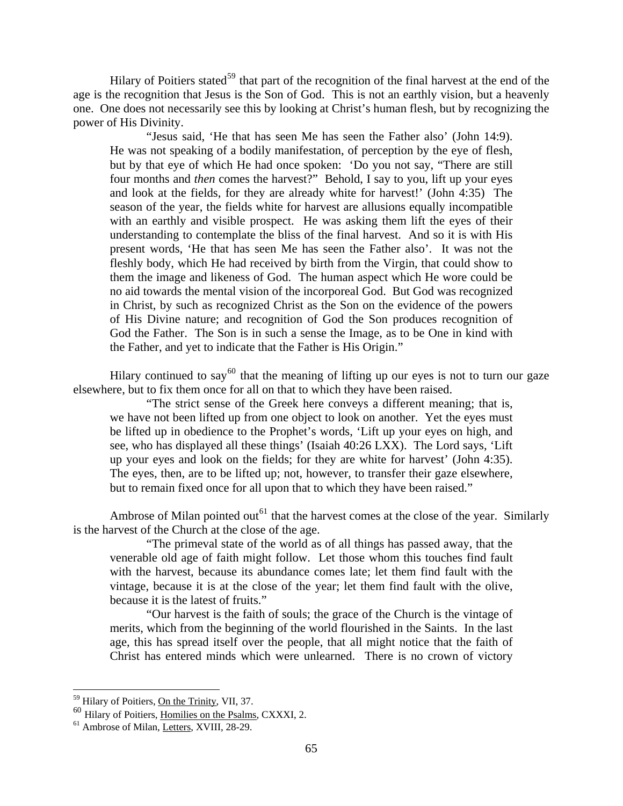Hilary of Poitiers stated<sup>[59](#page-31-0)</sup> that part of the recognition of the final harvest at the end of the age is the recognition that Jesus is the Son of God. This is not an earthly vision, but a heavenly one. One does not necessarily see this by looking at Christ's human flesh, but by recognizing the power of His Divinity.

"Jesus said, 'He that has seen Me has seen the Father also' (John 14:9). He was not speaking of a bodily manifestation, of perception by the eye of flesh, but by that eye of which He had once spoken: 'Do you not say, "There are still four months and *then* comes the harvest?" Behold, I say to you, lift up your eyes and look at the fields, for they are already white for harvest!' (John 4:35) The season of the year, the fields white for harvest are allusions equally incompatible with an earthly and visible prospect. He was asking them lift the eyes of their understanding to contemplate the bliss of the final harvest. And so it is with His present words, 'He that has seen Me has seen the Father also'. It was not the fleshly body, which He had received by birth from the Virgin, that could show to them the image and likeness of God. The human aspect which He wore could be no aid towards the mental vision of the incorporeal God. But God was recognized in Christ, by such as recognized Christ as the Son on the evidence of the powers of His Divine nature; and recognition of God the Son produces recognition of God the Father. The Son is in such a sense the Image, as to be One in kind with the Father, and yet to indicate that the Father is His Origin."

Hilary continued to say<sup>[60](#page-31-1)</sup> that the meaning of lifting up our eyes is not to turn our gaze elsewhere, but to fix them once for all on that to which they have been raised.

"The strict sense of the Greek here conveys a different meaning; that is, we have not been lifted up from one object to look on another. Yet the eyes must be lifted up in obedience to the Prophet's words, 'Lift up your eyes on high, and see, who has displayed all these things' (Isaiah 40:26 LXX). The Lord says, 'Lift up your eyes and look on the fields; for they are white for harvest' (John 4:35). The eyes, then, are to be lifted up; not, however, to transfer their gaze elsewhere, but to remain fixed once for all upon that to which they have been raised."

Ambrose of Milan pointed out<sup>[61](#page-31-2)</sup> that the harvest comes at the close of the year. Similarly is the harvest of the Church at the close of the age.

"The primeval state of the world as of all things has passed away, that the venerable old age of faith might follow. Let those whom this touches find fault with the harvest, because its abundance comes late; let them find fault with the vintage, because it is at the close of the year; let them find fault with the olive, because it is the latest of fruits."

"Our harvest is the faith of souls; the grace of the Church is the vintage of merits, which from the beginning of the world flourished in the Saints. In the last age, this has spread itself over the people, that all might notice that the faith of Christ has entered minds which were unlearned. There is no crown of victory

<sup>59</sup> Hilary of Poitiers, On the Trinity, VII, 37.

<span id="page-31-1"></span><span id="page-31-0"></span><sup>60</sup> Hilary of Poitiers, Homilies on the Psalms, CXXXI, 2. 61 Ambrose of Milan, Letters, XVIII, 28-29.

<span id="page-31-2"></span>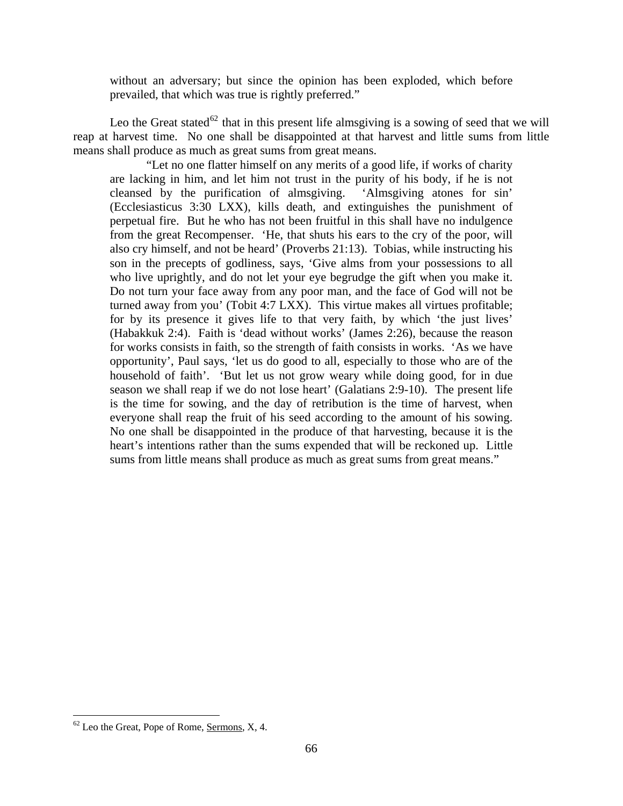without an adversary; but since the opinion has been exploded, which before prevailed, that which was true is rightly preferred."

Leo the Great stated<sup>[62](#page-32-0)</sup> that in this present life almsgiving is a sowing of seed that we will reap at harvest time. No one shall be disappointed at that harvest and little sums from little means shall produce as much as great sums from great means.

"Let no one flatter himself on any merits of a good life, if works of charity are lacking in him, and let him not trust in the purity of his body, if he is not cleansed by the purification of almsgiving. 'Almsgiving atones for sin' (Ecclesiasticus 3:30 LXX), kills death, and extinguishes the punishment of perpetual fire. But he who has not been fruitful in this shall have no indulgence from the great Recompenser. 'He, that shuts his ears to the cry of the poor, will also cry himself, and not be heard' (Proverbs 21:13). Tobias, while instructing his son in the precepts of godliness, says, 'Give alms from your possessions to all who live uprightly, and do not let your eye begrudge the gift when you make it. Do not turn your face away from any poor man, and the face of God will not be turned away from you' (Tobit 4:7 LXX). This virtue makes all virtues profitable; for by its presence it gives life to that very faith, by which 'the just lives' (Habakkuk 2:4). Faith is 'dead without works' (James 2:26), because the reason for works consists in faith, so the strength of faith consists in works. 'As we have opportunity', Paul says, 'let us do good to all, especially to those who are of the household of faith'. 'But let us not grow weary while doing good, for in due season we shall reap if we do not lose heart' (Galatians 2:9-10). The present life is the time for sowing, and the day of retribution is the time of harvest, when everyone shall reap the fruit of his seed according to the amount of his sowing. No one shall be disappointed in the produce of that harvesting, because it is the heart's intentions rather than the sums expended that will be reckoned up. Little sums from little means shall produce as much as great sums from great means."

<span id="page-32-0"></span> $62$  Leo the Great, Pope of Rome, Sermons, X, 4.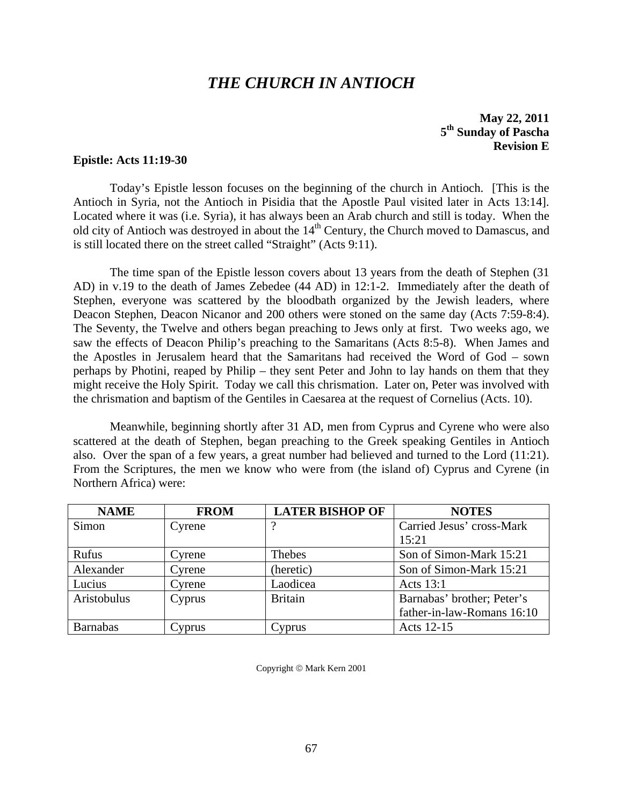# *THE CHURCH IN ANTIOCH*

**May 22, 2011 5th Sunday of Pascha Revision E** 

#### <span id="page-33-0"></span>**Epistle: Acts 11:19-30**

 Today's Epistle lesson focuses on the beginning of the church in Antioch. [This is the Antioch in Syria, not the Antioch in Pisidia that the Apostle Paul visited later in Acts 13:14]. Located where it was (i.e. Syria), it has always been an Arab church and still is today. When the old city of Antioch was destroyed in about the  $14<sup>th</sup>$  Century, the Church moved to Damascus, and is still located there on the street called "Straight" (Acts 9:11).

 The time span of the Epistle lesson covers about 13 years from the death of Stephen (31 AD) in v.19 to the death of James Zebedee (44 AD) in 12:1-2. Immediately after the death of Stephen, everyone was scattered by the bloodbath organized by the Jewish leaders, where Deacon Stephen, Deacon Nicanor and 200 others were stoned on the same day (Acts 7:59-8:4). The Seventy, the Twelve and others began preaching to Jews only at first. Two weeks ago, we saw the effects of Deacon Philip's preaching to the Samaritans (Acts 8:5-8). When James and the Apostles in Jerusalem heard that the Samaritans had received the Word of God – sown perhaps by Photini, reaped by Philip – they sent Peter and John to lay hands on them that they might receive the Holy Spirit. Today we call this chrismation. Later on, Peter was involved with the chrismation and baptism of the Gentiles in Caesarea at the request of Cornelius (Acts. 10).

 Meanwhile, beginning shortly after 31 AD, men from Cyprus and Cyrene who were also scattered at the death of Stephen, began preaching to the Greek speaking Gentiles in Antioch also. Over the span of a few years, a great number had believed and turned to the Lord (11:21). From the Scriptures, the men we know who were from (the island of) Cyprus and Cyrene (in Northern Africa) were:

| <b>NAME</b>     | <b>FROM</b> | <b>LATER BISHOP OF</b> | <b>NOTES</b>               |
|-----------------|-------------|------------------------|----------------------------|
| Simon           | Cyrene      |                        | Carried Jesus' cross-Mark  |
|                 |             |                        | 15:21                      |
| Rufus           | Cyrene      | Thebes                 | Son of Simon-Mark 15:21    |
| Alexander       | Cyrene      | (heretic)              | Son of Simon-Mark 15:21    |
| Lucius          | Cyrene      | Laodicea               | Acts 13:1                  |
| Aristobulus     | Cyprus      | <b>Britain</b>         | Barnabas' brother; Peter's |
|                 |             |                        | father-in-law-Romans 16:10 |
| <b>Barnabas</b> | Cyprus      | <b>Cyprus</b>          | Acts 12-15                 |

Copyright © Mark Kern 2001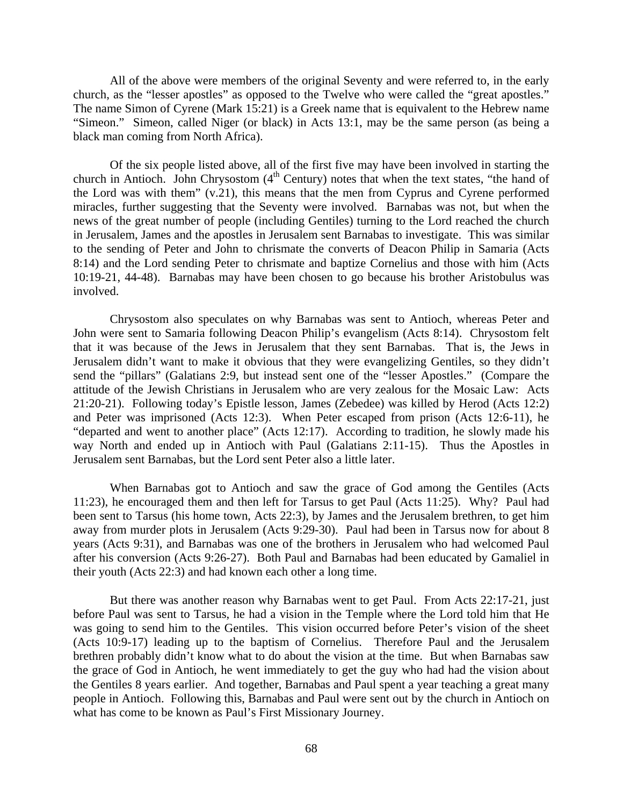All of the above were members of the original Seventy and were referred to, in the early church, as the "lesser apostles" as opposed to the Twelve who were called the "great apostles." The name Simon of Cyrene (Mark 15:21) is a Greek name that is equivalent to the Hebrew name "Simeon." Simeon, called Niger (or black) in Acts 13:1, may be the same person (as being a black man coming from North Africa).

 Of the six people listed above, all of the first five may have been involved in starting the church in Antioch. John Chrysostom (4<sup>th</sup> Century) notes that when the text states, "the hand of the Lord was with them" (v.21), this means that the men from Cyprus and Cyrene performed miracles, further suggesting that the Seventy were involved. Barnabas was not, but when the news of the great number of people (including Gentiles) turning to the Lord reached the church in Jerusalem, James and the apostles in Jerusalem sent Barnabas to investigate. This was similar to the sending of Peter and John to chrismate the converts of Deacon Philip in Samaria (Acts 8:14) and the Lord sending Peter to chrismate and baptize Cornelius and those with him (Acts 10:19-21, 44-48). Barnabas may have been chosen to go because his brother Aristobulus was involved.

 Chrysostom also speculates on why Barnabas was sent to Antioch, whereas Peter and John were sent to Samaria following Deacon Philip's evangelism (Acts 8:14). Chrysostom felt that it was because of the Jews in Jerusalem that they sent Barnabas. That is, the Jews in Jerusalem didn't want to make it obvious that they were evangelizing Gentiles, so they didn't send the "pillars" (Galatians 2:9, but instead sent one of the "lesser Apostles." (Compare the attitude of the Jewish Christians in Jerusalem who are very zealous for the Mosaic Law: Acts 21:20-21). Following today's Epistle lesson, James (Zebedee) was killed by Herod (Acts 12:2) and Peter was imprisoned (Acts 12:3). When Peter escaped from prison (Acts 12:6-11), he "departed and went to another place" (Acts 12:17). According to tradition, he slowly made his way North and ended up in Antioch with Paul (Galatians 2:11-15). Thus the Apostles in Jerusalem sent Barnabas, but the Lord sent Peter also a little later.

 When Barnabas got to Antioch and saw the grace of God among the Gentiles (Acts 11:23), he encouraged them and then left for Tarsus to get Paul (Acts 11:25). Why? Paul had been sent to Tarsus (his home town, Acts 22:3), by James and the Jerusalem brethren, to get him away from murder plots in Jerusalem (Acts 9:29-30). Paul had been in Tarsus now for about 8 years (Acts 9:31), and Barnabas was one of the brothers in Jerusalem who had welcomed Paul after his conversion (Acts 9:26-27). Both Paul and Barnabas had been educated by Gamaliel in their youth (Acts 22:3) and had known each other a long time.

 But there was another reason why Barnabas went to get Paul. From Acts 22:17-21, just before Paul was sent to Tarsus, he had a vision in the Temple where the Lord told him that He was going to send him to the Gentiles. This vision occurred before Peter's vision of the sheet (Acts 10:9-17) leading up to the baptism of Cornelius. Therefore Paul and the Jerusalem brethren probably didn't know what to do about the vision at the time. But when Barnabas saw the grace of God in Antioch, he went immediately to get the guy who had had the vision about the Gentiles 8 years earlier. And together, Barnabas and Paul spent a year teaching a great many people in Antioch. Following this, Barnabas and Paul were sent out by the church in Antioch on what has come to be known as Paul's First Missionary Journey.